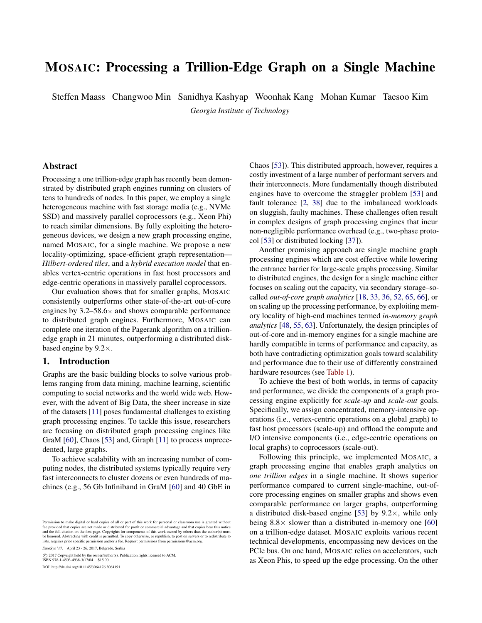# MOSAIC: Processing a Trillion-Edge Graph on a Single Machine

Steffen Maass Changwoo Min Sanidhya Kashyap Woonhak Kang Mohan Kumar Taesoo Kim

*Georgia Institute of Technology*

# Abstract

Processing a one trillion-edge graph has recently been demonstrated by distributed graph engines running on clusters of tens to hundreds of nodes. In this paper, we employ a single heterogeneous machine with fast storage media (e.g., NVMe SSD) and massively parallel coprocessors (e.g., Xeon Phi) to reach similar dimensions. By fully exploiting the heterogeneous devices, we design a new graph processing engine, named MOSAIC, for a single machine. We propose a new locality-optimizing, space-efficient graph representation— *Hilbert-ordered tiles*, and a *hybrid execution model* that enables vertex-centric operations in fast host processors and edge-centric operations in massively parallel coprocessors.

Our evaluation shows that for smaller graphs, MOSAIC consistently outperforms other state-of-the-art out-of-core engines by  $3.2-58.6\times$  and shows comparable performance to distributed graph engines. Furthermore, MOSAIC can complete one iteration of the Pagerank algorithm on a trillionedge graph in 21 minutes, outperforming a distributed diskbased engine by  $9.2 \times$ .

# 1. Introduction

Graphs are the basic building blocks to solve various problems ranging from data mining, machine learning, scientific computing to social networks and the world wide web. However, with the advent of Big Data, the sheer increase in size of the datasets [\[11\]](#page-13-0) poses fundamental challenges to existing graph processing engines. To tackle this issue, researchers are focusing on distributed graph processing engines like GraM [\[60\]](#page-15-0), Chaos [\[53\]](#page-15-1) and, Giraph [\[11\]](#page-13-0) to process unprecedented, large graphs.

To achieve scalability with an increasing number of computing nodes, the distributed systems typically require very fast interconnects to cluster dozens or even hundreds of machines (e.g., 56 Gb Infiniband in GraM [\[60\]](#page-15-0) and 40 GbE in

EuroSys '17, April 23 - 26, 2017, Belgrade, Serbia

⃝c 2017 Copyright held by the owner/author(s). Publication rights licensed to ACM. ISBN 978-1-4503-4938-3/17/04. . . \$15.00

DOI: http://dx.doi.org/10.1145/3064176.3064191

Chaos [\[53\]](#page-15-1)). This distributed approach, however, requires a costly investment of a large number of performant servers and their interconnects. More fundamentally though distributed engines have to overcome the straggler problem [\[53\]](#page-15-1) and fault tolerance [\[2,](#page-13-1) [38\]](#page-15-2) due to the imbalanced workloads on sluggish, faulty machines. These challenges often result in complex designs of graph processing engines that incur non-negligible performance overhead (e.g., two-phase protocol [\[53\]](#page-15-1) or distributed locking [\[37\]](#page-14-0)).

Another promising approach are single machine graph processing engines which are cost effective while lowering the entrance barrier for large-scale graphs processing. Similar to distributed engines, the design for a single machine either focuses on scaling out the capacity, via secondary storage–socalled *out-of-core graph analytics* [\[18,](#page-14-1) [33,](#page-14-2) [36,](#page-14-3) [52,](#page-15-3) [65,](#page-16-0) [66\]](#page-16-1), or on scaling up the processing performance, by exploiting memory locality of high-end machines termed *in-memory graph analytics* [\[48,](#page-15-4) [55,](#page-15-5) [63\]](#page-16-2). Unfortunately, the design principles of out-of-core and in-memory engines for a single machine are hardly compatible in terms of performance and capacity, as both have contradicting optimization goals toward scalability and performance due to their use of differently constrained hardware resources (see [Table 1\)](#page-1-0).

To achieve the best of both worlds, in terms of capacity and performance, we divide the components of a graph processing engine explicitly for *scale-up* and *scale-out* goals. Specifically, we assign concentrated, memory-intensive operations (i.e., vertex-centric operations on a global graph) to fast host processors (scale-up) and offload the compute and I/O intensive components (i.e., edge-centric operations on local graphs) to coprocessors (scale-out).

Following this principle, we implemented MOSAIC, a graph processing engine that enables graph analytics on *one trillion edges* in a single machine. It shows superior performance compared to current single-machine, out-ofcore processing engines on smaller graphs and shows even comparable performance on larger graphs, outperforming a distributed disk-based engine [\[53\]](#page-15-1) by 9.2×, while only being  $8.8 \times$  slower than a distributed in-memory one [\[60\]](#page-15-0) on a trillion-edge dataset. MOSAIC exploits various recent technical developments, encompassing new devices on the PCIe bus. On one hand, MOSAIC relies on accelerators, such as Xeon Phis, to speed up the edge processing. On the other

Permission to make digital or hard copies of all or part of this work for personal or classroom use is granted without<br>fee provided that copies are not made or distributed for profit or commercial advantage and that copies lists, requires prior specific permission and/or a fee. Request permissions from permissions@acm.org.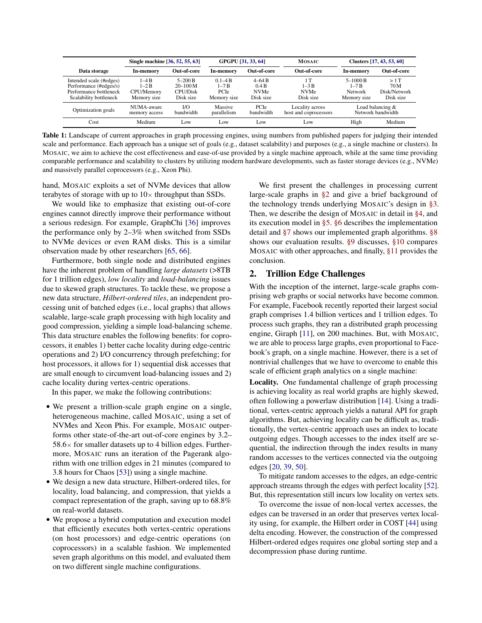<span id="page-1-0"></span>

|                                                                                                       | Single machine [36, 52, 55, 63]               |                                                           | GPGPU [31, 33, 64]                                  |                                                | <b>MOSAIC</b>                            | Clusters [17, 43, 53, 60]                            |                                          |
|-------------------------------------------------------------------------------------------------------|-----------------------------------------------|-----------------------------------------------------------|-----------------------------------------------------|------------------------------------------------|------------------------------------------|------------------------------------------------------|------------------------------------------|
| Data storage                                                                                          | In-memory                                     | Out-of-core                                               | In-memory                                           | Out-of-core                                    | Out-of-core                              | In-memory                                            | Out-of-core                              |
| Intended scale (#edges)<br>Performance (#edges/s)<br>Performance bottleneck<br>Scalability bottleneck | $1-4B$<br>$1-2B$<br>CPU/Memory<br>Memory size | $5 - 200 B$<br>$20-100$ M<br><b>CPU/Disk</b><br>Disk size | $0.1 - 4B$<br>$1-7B$<br><b>PC</b> Ie<br>Memory size | $4 - 64 B$<br>0.4B<br><b>NVMe</b><br>Disk size | 1T<br>$1-3B$<br><b>NVMe</b><br>Disk size | $5-1000B$<br>$1-7B$<br><b>Network</b><br>Memory size | >1T<br>70 M<br>Disk/Network<br>Disk size |
| Optimization goals                                                                                    | NUMA-aware<br>memory access                   | $U\Omega$<br>bandwidth                                    | Massive<br>parallelism                              | <b>PC</b> Ie<br>bandwidth                      | Locality across<br>host and coprocessors | Load balancing $\&$<br>Network bandwidth             |                                          |
| Cost                                                                                                  | Medium                                        | Low                                                       | Low                                                 | Low                                            | Low.                                     | High                                                 | Medium                                   |

Table 1: Landscape of current approaches in graph processing engines, using numbers from published papers for judging their intended scale and performance. Each approach has a unique set of goals (e.g., dataset scalability) and purposes (e.g., a single machine or clusters). In MOSAIC, we aim to achieve the cost effectiveness and ease-of-use provided by a single machine approach, while at the same time providing comparable performance and scalability to clusters by utilizing modern hardware developments, such as faster storage devices (e.g., NVMe) and massively parallel coprocessors (e.g., Xeon Phi).

hand, MOSAIC exploits a set of NVMe devices that allow terabytes of storage with up to  $10\times$  throughput than SSDs.

We would like to emphasize that existing out-of-core engines cannot directly improve their performance without a serious redesign. For example, GraphChi [\[36\]](#page-14-3) improves the performance only by 2–3% when switched from SSDs to NVMe devices or even RAM disks. This is a similar observation made by other researchers [\[65,](#page-16-0) [66\]](#page-16-1).

Furthermore, both single node and distributed engines have the inherent problem of handling *large datasets* (>8TB for 1 trillion edges), *low locality* and *load-balancing* issues due to skewed graph structures. To tackle these, we propose a new data structure, *Hilbert-ordered tiles*, an independent processing unit of batched edges (i.e., local graphs) that allows scalable, large-scale graph processing with high locality and good compression, yielding a simple load-balancing scheme. This data structure enables the following benefits: for coprocessors, it enables 1) better cache locality during edge-centric operations and 2) I/O concurrency through prefetching; for host processors, it allows for 1) sequential disk accesses that are small enough to circumvent load-balancing issues and 2) cache locality during vertex-centric operations.

In this paper, we make the following contributions:

- We present a trillion-scale graph engine on a single, heterogeneous machine, called MOSAIC, using a set of NVMes and Xeon Phis. For example, MOSAIC outperforms other state-of-the-art out-of-core engines by 3.2–  $58.6\times$  for smaller datasets up to 4 billion edges. Furthermore, MOSAIC runs an iteration of the Pagerank algorithm with one trillion edges in 21 minutes (compared to 3.8 hours for Chaos [\[53\]](#page-15-1)) using a single machine.
- We design a new data structure, Hilbert-ordered tiles, for locality, load balancing, and compression, that yields a compact representation of the graph, saving up to 68.8% on real-world datasets.
- We propose a hybrid computation and execution model that efficiently executes both vertex-centric operations (on host processors) and edge-centric operations (on coprocessors) in a scalable fashion. We implemented seven graph algorithms on this model, and evaluated them on two different single machine configurations.

We first present the challenges in processing current large-scale graphs in [§2](#page-1-1) and give a brief background of the technology trends underlying MOSAIC's design in [§3.](#page-2-0) Then, we describe the design of MOSAIC in detail in [§4,](#page-2-1) and its execution model in [§5.](#page-5-0) [§6](#page-6-0) describes the implementation detail and [§7](#page-7-0) shows our implemented graph algorithms. [§8](#page-7-1) shows our evaluation results. [§9](#page-12-0) discusses, [§10](#page-12-1) compares MOSAIC with other approaches, and finally, [§11](#page-13-2) provides the conclusion.

# <span id="page-1-1"></span>2. Trillion Edge Challenges

With the inception of the internet, large-scale graphs comprising web graphs or social networks have become common. For example, Facebook recently reported their largest social graph comprises 1.4 billion vertices and 1 trillion edges. To process such graphs, they ran a distributed graph processing engine, Giraph [\[11\]](#page-13-0), on 200 machines. But, with MOSAIC, we are able to process large graphs, even proportional to Facebook's graph, on a single machine. However, there is a set of nontrivial challenges that we have to overcome to enable this scale of efficient graph analytics on a single machine:

Locality. One fundamental challenge of graph processing is achieving locality as real world graphs are highly skewed, often following a powerlaw distribution [\[14\]](#page-14-6). Using a traditional, vertex-centric approach yields a natural API for graph algorithms. But, achieving locality can be difficult as, traditionally, the vertex-centric approach uses an index to locate outgoing edges. Though accesses to the index itself are sequential, the indirection through the index results in many random accesses to the vertices connected via the outgoing edges [\[20,](#page-14-7) [39,](#page-15-7) [50\]](#page-15-8).

To mitigate random accesses to the edges, an edge-centric approach streams through the edges with perfect locality [\[52\]](#page-15-3). But, this representation still incurs low locality on vertex sets.

To overcome the issue of non-local vertex accesses, the edges can be traversed in an order that preserves vertex locality using, for example, the Hilbert order in COST [\[44\]](#page-15-9) using delta encoding. However, the construction of the compressed Hilbert-ordered edges requires one global sorting step and a decompression phase during runtime.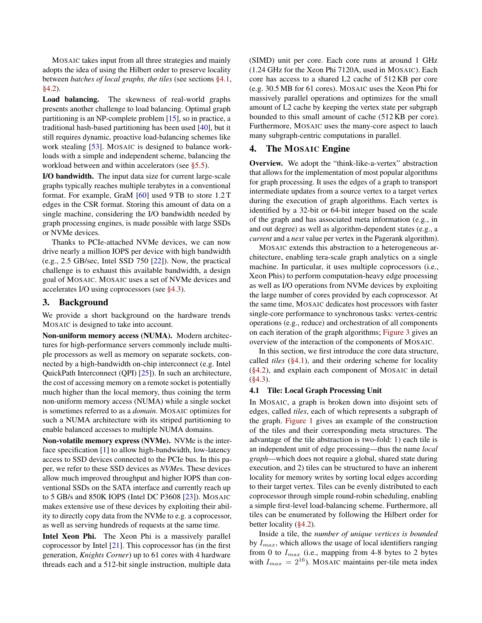MOSAIC takes input from all three strategies and mainly adopts the idea of using the Hilbert order to preserve locality between *batches of local graphs, the tiles* (see sections [§4.1,](#page-2-2) [§4.2\)](#page-3-0).

Load balancing. The skewness of real-world graphs presents another challenge to load balancing. Optimal graph partitioning is an NP-complete problem [\[15\]](#page-14-8), so in practice, a traditional hash-based partitioning has been used [\[40\]](#page-15-10), but it still requires dynamic, proactive load-balancing schemes like work stealing [\[53\]](#page-15-1). MOSAIC is designed to balance workloads with a simple and independent scheme, balancing the workload between and within accelerators (see [§5.5\)](#page-6-1).

I/O bandwidth. The input data size for current large-scale graphs typically reaches multiple terabytes in a conventional format. For example, GraM [\[60\]](#page-15-0) used 9 TB to store 1.2 T edges in the CSR format. Storing this amount of data on a single machine, considering the I/O bandwidth needed by graph processing engines, is made possible with large SSDs or NVMe devices.

Thanks to PCIe-attached NVMe devices, we can now drive nearly a million IOPS per device with high bandwidth (e.g., 2.5 GB/sec, Intel SSD 750 [\[22\]](#page-14-9)). Now, the practical challenge is to exhaust this available bandwidth, a design goal of MOSAIC. MOSAIC uses a set of NVMe devices and accelerates I/O using coprocessors (see [§4.3\)](#page-4-0).

# <span id="page-2-0"></span>3. Background

We provide a short background on the hardware trends MOSAIC is designed to take into account.

Non-uniform memory access (NUMA). Modern architectures for high-performance servers commonly include multiple processors as well as memory on separate sockets, connected by a high-bandwidth on-chip interconnect (e.g. Intel QuickPath Interconnect (QPI) [\[25\]](#page-14-10)). In such an architecture, the cost of accessing memory on a remote socket is potentially much higher than the local memory, thus coining the term non-uniform memory access (NUMA) while a single socket is sometimes referred to as a *domain*. MOSAIC optimizes for such a NUMA architecture with its striped partitioning to enable balanced accesses to multiple NUMA domains.

Non-volatile memory express (NVMe). NVMe is the interface specification [\[1\]](#page-13-3) to allow high-bandwidth, low-latency access to SSD devices connected to the PCIe bus. In this paper, we refer to these SSD devices as *NVMe*s. These devices allow much improved throughput and higher IOPS than conventional SSDs on the SATA interface and currently reach up to 5 GB/s and 850K IOPS (Intel DC P3608 [\[23\]](#page-14-11)). MOSAIC makes extensive use of these devices by exploiting their ability to directly copy data from the NVMe to e.g. a coprocessor, as well as serving hundreds of requests at the same time.

Intel Xeon Phi. The Xeon Phi is a massively parallel coprocessor by Intel [\[21\]](#page-14-12). This coprocessor has (in the first generation, *Knights Corner*) up to 61 cores with 4 hardware threads each and a 512-bit single instruction, multiple data (SIMD) unit per core. Each core runs at around 1 GHz (1.24 GHz for the Xeon Phi 7120A, used in MOSAIC). Each core has access to a shared L2 cache of 512 KB per core (e.g. 30.5 MB for 61 cores). MOSAIC uses the Xeon Phi for massively parallel operations and optimizes for the small amount of L2 cache by keeping the vertex state per subgraph bounded to this small amount of cache (512 KB per core). Furthermore, MOSAIC uses the many-core aspect to lauch many subgraph-centric computations in parallel.

# <span id="page-2-1"></span>4. The MOSAIC Engine

Overview. We adopt the "think-like-a-vertex" abstraction that allows for the implementation of most popular algorithms for graph processing. It uses the edges of a graph to transport intermediate updates from a source vertex to a target vertex during the execution of graph algorithms. Each vertex is identified by a 32-bit or 64-bit integer based on the scale of the graph and has associated meta information (e.g., in and out degree) as well as algorithm-dependent states (e.g., a *current* and a *next* value per vertex in the Pagerank algorithm).

MOSAIC extends this abstraction to a heterogeneous architecture, enabling tera-scale graph analytics on a single machine. In particular, it uses multiple coprocessors (i.e., Xeon Phis) to perform computation-heavy edge processing as well as I/O operations from NVMe devices by exploiting the large number of cores provided by each coprocessor. At the same time, MOSAIC dedicates host processors with faster single-core performance to synchronous tasks: vertex-centric operations (e.g., reduce) and orchestration of all components on each iteration of the graph algorithms; [Figure 3](#page-4-1) gives an overview of the interaction of the components of MOSAIC.

In this section, we first introduce the core data structure, called *tiles* [\(§4.1\)](#page-2-2), and their ordering scheme for locality [\(§4.2\)](#page-3-0), and explain each component of MOSAIC in detail  $(\$4.3).$ 

#### <span id="page-2-2"></span>4.1 Tile: Local Graph Processing Unit

In MOSAIC, a graph is broken down into disjoint sets of edges, called *tiles*, each of which represents a subgraph of the graph. [Figure 1](#page-3-1) gives an example of the construction of the tiles and their corresponding meta structures. The advantage of the tile abstraction is two-fold: 1) each tile is an independent unit of edge processing—thus the name *local graph*—which does not require a global, shared state during execution, and 2) tiles can be structured to have an inherent locality for memory writes by sorting local edges according to their target vertex. Tiles can be evenly distributed to each coprocessor through simple round-robin scheduling, enabling a simple first-level load-balancing scheme. Furthermore, all tiles can be enumerated by following the Hilbert order for better locality [\(§4.2\)](#page-3-0).

Inside a tile, the *number of unique vertices is bounded* by  $I_{max}$ , which allows the usage of local identifiers ranging from 0 to  $I_{max}$  (i.e., mapping from 4-8 bytes to 2 bytes with  $I_{max} = 2^{16}$ ). MOSAIC maintains per-tile meta index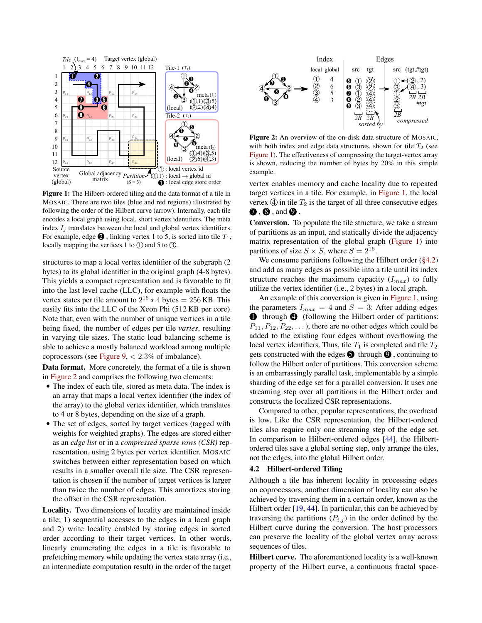<span id="page-3-1"></span>

Figure 1: The Hilbert-ordered tiling and the data format of a tile in MOSAIC. There are two tiles (blue and red regions) illustrated by following the order of the Hilbert curve (arrow). Internally, each tile encodes a local graph using local, short vertex identifiers. The meta index  $I_i$  translates between the local and global vertex identifiers. For example, edge  $\bullet$ , linking vertex 1 to 5, is sorted into tile  $T_1$ , locally mapping the vertices 1 to  $\circled{1}$  and 5 to  $\circled{3}$ .

structures to map a local vertex identifier of the subgraph (2 bytes) to its global identifier in the original graph (4-8 bytes). This yields a compact representation and is favorable to fit into the last level cache (LLC), for example with floats the vertex states per tile amount to  $2^{16} * 4$  bytes = 256 KB. This easily fits into the LLC of the Xeon Phi (512 KB per core). Note that, even with the number of unique vertices in a tile being fixed, the number of edges per tile *varies*, resulting in varying tile sizes. The static load balancing scheme is able to achieve a mostly balanced workload among multiple coprocessors (see Figure  $9, < 2.3\%$  of imbalance).

Data format. More concretely, the format of a tile is shown in [Figure 2](#page-3-2) and comprises the following two elements:

- The index of each tile, stored as meta data. The index is an array that maps a local vertex identifier (the index of the array) to the global vertex identifier, which translates to 4 or 8 bytes, depending on the size of a graph.
- The set of edges, sorted by target vertices (tagged with weights for weighted graphs). The edges are stored either as an *edge list* or in a *compressed sparse rows (CSR)* representation, using 2 bytes per vertex identifier. MOSAIC switches between either representation based on which results in a smaller overall tile size. The CSR representation is chosen if the number of target vertices is larger than twice the number of edges. This amortizes storing the offset in the CSR representation.

Locality. Two dimensions of locality are maintained inside a tile; 1) sequential accesses to the edges in a local graph and 2) write locality enabled by storing edges in sorted order according to their target vertices. In other words, linearly enumerating the edges in a tile is favorable to prefetching memory while updating the vertex state array (i.e.,

<span id="page-3-2"></span>

Figure 2: An overview of the on-disk data structure of MOSAIC, with both index and edge data structures, shown for tile  $T_2$  (see [Figure 1\)](#page-3-1). The effectiveness of compressing the target-vertex array is shown, reducing the number of bytes by 20% in this simple example.

vertex enables memory and cache locality due to repeated target vertices in a tile. For example, in [Figure 1,](#page-3-1) the local vertex  $\circled{4}$  in tile  $T_2$  is the target of all three consecutive edges  $\mathbf{0}$  ,  $\mathbf{0}$  , and  $\mathbf{0}$  .

Conversion. To populate the tile structure, we take a stream of partitions as an input, and statically divide the adjacency matrix representation of the global graph [\(Figure 1\)](#page-3-1) into partitions of size  $S \times S$ , where  $S = 2^{16}$ .

We consume partitions following the Hilbert order [\(§4.2\)](#page-3-0) and add as many edges as possible into a tile until its index structure reaches the maximum capacity  $(I_{max})$  to fully utilize the vertex identifier (i.e., 2 bytes) in a local graph.

An example of this conversion is given in [Figure 1,](#page-3-1) using the parameters  $I_{max} = 4$  and  $S = 3$ : After adding edges **1** through  $\bullet$  (following the Hilbert order of partitions:  $P_{11}, P_{12}, P_{22}, \ldots$ , there are no other edges which could be added to the existing four edges without overflowing the local vertex identifiers. Thus, tile  $T_1$  is completed and tile  $T_2$ gets constructed with the edges  $\bigcirc$  through  $\bigcirc$ , continuing to follow the Hilbert order of partitions. This conversion scheme is an embarrassingly parallel task, implementable by a simple sharding of the edge set for a parallel conversion. It uses one streaming step over all partitions in the Hilbert order and constructs the localized CSR representations.

Compared to other, popular representations, the overhead is low. Like the CSR representation, the Hilbert-ordered tiles also require only one streaming step of the edge set. In comparison to Hilbert-ordered edges [\[44\]](#page-15-9), the Hilbertordered tiles save a global sorting step, only arrange the tiles, not the edges, into the global Hilbert order.

## <span id="page-3-0"></span>4.2 Hilbert-ordered Tiling

Although a tile has inherent locality in processing edges on coprocessors, another dimension of locality can also be achieved by traversing them in a certain order, known as the Hilbert order [\[19,](#page-14-13) [44\]](#page-15-9). In particular, this can be achieved by traversing the partitions  $(P_{i,j})$  in the order defined by the Hilbert curve during the conversion. The host processors can preserve the locality of the global vertex array across sequences of tiles.

Hilbert curve. The aforementioned locality is a well-known property of the Hilbert curve, a continuous fractal space-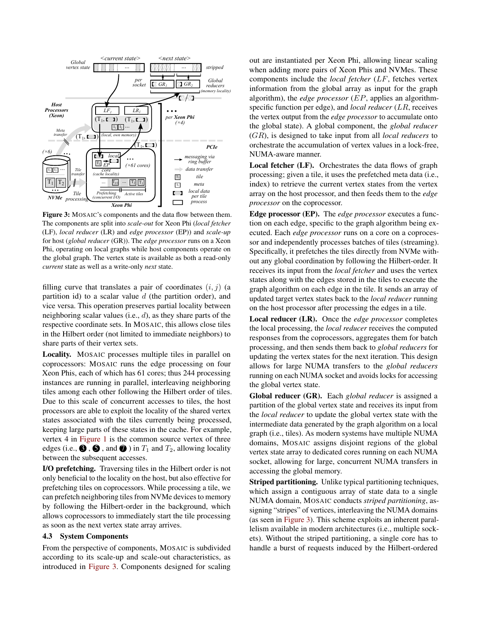<span id="page-4-1"></span>

Figure 3: MOSAIC's components and the data flow between them. The components are split into *scale-out* for Xeon Phi (*local fetcher* (LF), *local reducer* (LR) and *edge processor* (EP)) and *scale-up* for host (*global reducer* (GR)). The *edge processor* runs on a Xeon Phi, operating on local graphs while host components operate on the global graph. The vertex state is available as both a read-only *current* state as well as a write-only *next* state.

filling curve that translates a pair of coordinates  $(i, j)$  (a partition id) to a scalar value  $d$  (the partition order), and vice versa. This operation preserves partial locality between neighboring scalar values (i.e.,  $d$ ), as they share parts of the respective coordinate sets. In MOSAIC, this allows close tiles in the Hilbert order (not limited to immediate neighbors) to share parts of their vertex sets.

Locality. MOSAIC processes multiple tiles in parallel on coprocessors: MOSAIC runs the edge processing on four Xeon Phis, each of which has 61 cores; thus 244 processing instances are running in parallel, interleaving neighboring tiles among each other following the Hilbert order of tiles. Due to this scale of concurrent accesses to tiles, the host processors are able to exploit the locality of the shared vertex states associated with the tiles currently being processed, keeping large parts of these states in the cache. For example, vertex 4 in [Figure 1](#page-3-1) is the common source vertex of three edges (i.e.,  $\bigcirc$ ,  $\bigcirc$ , and  $\bigcirc$ ) in  $T_1$  and  $T_2$ , allowing locality between the subsequent accesses.

I/O prefetching. Traversing tiles in the Hilbert order is not only beneficial to the locality on the host, but also effective for prefetching tiles on coprocessors. While processing a tile, we can prefetch neighboring tiles from NVMe devices to memory by following the Hilbert-order in the background, which allows coprocessors to immediately start the tile processing as soon as the next vertex state array arrives.

## <span id="page-4-0"></span>4.3 System Components

From the perspective of components, MOSAIC is subdivided according to its scale-up and scale-out characteristics, as introduced in [Figure 3.](#page-4-1) Components designed for scaling out are instantiated per Xeon Phi, allowing linear scaling when adding more pairs of Xeon Phis and NVMes. These components include the *local fetcher* (LF, fetches vertex information from the global array as input for the graph algorithm), the *edge processor* (EP, applies an algorithmspecific function per edge), and *local reducer* (LR, receives the vertex output from the *edge processor* to accumulate onto the global state). A global component, the *global reducer* (GR), is designed to take input from all *local reducers* to orchestrate the accumulation of vertex values in a lock-free, NUMA-aware manner.

Local fetcher (LF). Orchestrates the data flows of graph processing; given a tile, it uses the prefetched meta data (i.e., index) to retrieve the current vertex states from the vertex array on the host processor, and then feeds them to the *edge processor* on the coprocessor.

Edge processor (EP). The *edge processor* executes a function on each edge, specific to the graph algorithm being executed. Each *edge processor* runs on a core on a coprocessor and independently processes batches of tiles (streaming). Specifically, it prefetches the tiles directly from NVMe without any global coordination by following the Hilbert-order. It receives its input from the *local fetcher* and uses the vertex states along with the edges stored in the tiles to execute the graph algorithm on each edge in the tile. It sends an array of updated target vertex states back to the *local reducer* running on the host processor after processing the edges in a tile.

Local reducer (LR). Once the *edge processor* completes the local processing, the *local reducer* receives the computed responses from the coprocessors, aggregates them for batch processing, and then sends them back to *global reducers* for updating the vertex states for the next iteration. This design allows for large NUMA transfers to the *global reducers* running on each NUMA socket and avoids locks for accessing the global vertex state.

Global reducer (GR). Each *global reducer* is assigned a partition of the global vertex state and receives its input from the *local reducer* to update the global vertex state with the intermediate data generated by the graph algorithm on a local graph (i.e., tiles). As modern systems have multiple NUMA domains, MOSAIC assigns disjoint regions of the global vertex state array to dedicated cores running on each NUMA socket, allowing for large, concurrent NUMA transfers in accessing the global memory.

Striped partitioning. Unlike typical partitioning techniques, which assign a contiguous array of state data to a single NUMA domain, MOSAIC conducts *striped partitioning*, assigning "stripes" of vertices, interleaving the NUMA domains (as seen in [Figure 3\)](#page-4-1). This scheme exploits an inherent parallelism available in modern architectures (i.e., multiple sockets). Without the striped partitioning, a single core has to handle a burst of requests induced by the Hilbert-ordered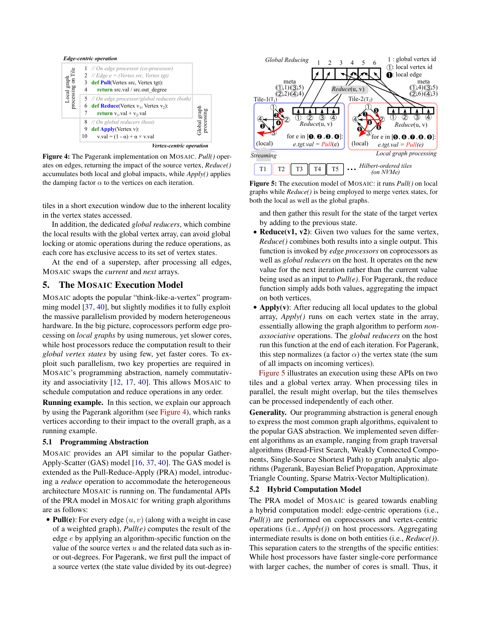<span id="page-5-1"></span>

Figure 4: The Pagerank implementation on MOSAIC. *Pull()* operates on edges, returning the impact of the source vertex, *Reduce()* accumulates both local and global impacts, while *Apply()* applies the damping factor  $\alpha$  to the vertices on each iteration.

tiles in a short execution window due to the inherent locality in the vertex states accessed.

In addition, the dedicated *global reducers*, which combine the local results with the global vertex array, can avoid global locking or atomic operations during the reduce operations, as each core has exclusive access to its set of vertex states.

At the end of a superstep, after processing all edges, MOSAIC swaps the *current* and *next* arrays.

# <span id="page-5-0"></span>5. The MOSAIC Execution Model

MOSAIC adopts the popular "think-like-a-vertex" programming model [\[37,](#page-14-0) [40\]](#page-15-10), but slightly modifies it to fully exploit the massive parallelism provided by modern heterogeneous hardware. In the big picture, coprocessors perform edge processing on *local graphs* by using numerous, yet slower cores, while host processors reduce the computation result to their *global vertex states* by using few, yet faster cores. To exploit such parallelism, two key properties are required in MOSAIC's programming abstraction, namely commutativity and associativity [\[12,](#page-14-14) [17,](#page-14-5) [40\]](#page-15-10). This allows MOSAIC to schedule computation and reduce operations in any order.

Running example. In this section, we explain our approach by using the Pagerank algorithm (see [Figure 4\)](#page-5-1), which ranks vertices according to their impact to the overall graph, as a running example.

#### 5.1 Programming Abstraction

MOSAIC provides an API similar to the popular Gather-Apply-Scatter (GAS) model [\[16,](#page-14-15) [37,](#page-14-0) [40\]](#page-15-10). The GAS model is extended as the Pull-Reduce-Apply (PRA) model, introducing a *reduce* operation to accommodate the heterogeneous architecture MOSAIC is running on. The fundamental APIs of the PRA model in MOSAIC for writing graph algorithms are as follows:

• Pull(e): For every edge  $(u, v)$  (along with a weight in case of a weighted graph), *Pull(e)* computes the result of the edge e by applying an algorithm-specific function on the value of the source vertex  $u$  and the related data such as inor out-degrees. For Pagerank, we first pull the impact of a source vertex (the state value divided by its out-degree)

<span id="page-5-2"></span>

Figure 5: The execution model of MOSAIC: it runs *Pull()* on local graphs while *Reduce()* is being employed to merge vertex states, for both the local as well as the global graphs.

and then gather this result for the state of the target vertex by adding to the previous state.

- Reduce(v1, v2): Given two values for the same vertex, *Reduce()* combines both results into a single output. This function is invoked by *edge processors* on coprocessors as well as *global reducers* on the host. It operates on the new value for the next iteration rather than the current value being used as an input to *Pull(e)*. For Pagerank, the reduce function simply adds both values, aggregating the impact on both vertices.
- Apply(v): After reducing all local updates to the global array, *Apply()* runs on each vertex state in the array, essentially allowing the graph algorithm to perform *nonassociative* operations. The *global reducers* on the host run this function at the end of each iteration. For Pagerank, this step normalizes (a factor  $\alpha$ ) the vertex state (the sum of all impacts on incoming vertices).

[Figure 5](#page-5-2) illustrates an execution using these APIs on two tiles and a global vertex array. When processing tiles in parallel, the result might overlap, but the tiles themselves can be processed independently of each other.

Generality. Our programming abstraction is general enough to express the most common graph algorithms, equivalent to the popular GAS abstraction. We implemented seven different algorithms as an example, ranging from graph traversal algorithms (Bread-First Search, Weakly Connected Components, Single-Source Shortest Path) to graph analytic algorithms (Pagerank, Bayesian Belief Propagation, Approximate Triangle Counting, Sparse Matrix-Vector Multiplication).

#### 5.2 Hybrid Computation Model

The PRA model of MOSAIC is geared towards enabling a hybrid computation model: edge-centric operations (i.e., *Pull()*) are performed on coprocessors and vertex-centric operations (i.e., *Apply()*) on host processors. Aggregating intermediate results is done on both entities (i.e., *Reduce()*). This separation caters to the strengths of the specific entities: While host processors have faster single-core performance with larger caches, the number of cores is small. Thus, it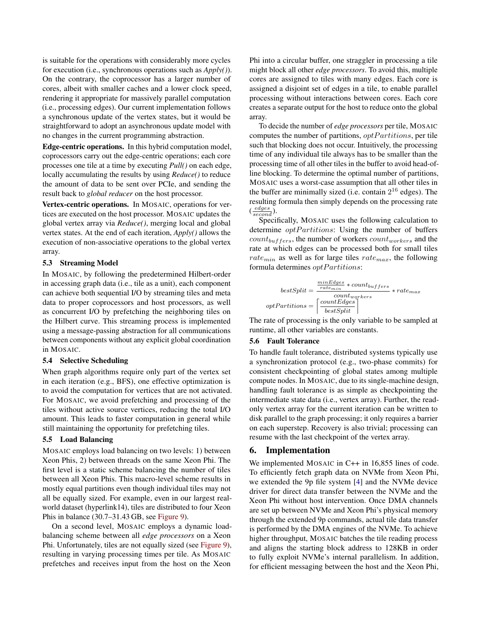is suitable for the operations with considerably more cycles for execution (i.e., synchronous operations such as *Apply()*). On the contrary, the coprocessor has a larger number of cores, albeit with smaller caches and a lower clock speed, rendering it appropriate for massively parallel computation (i.e., processing edges). Our current implementation follows a synchronous update of the vertex states, but it would be straightforward to adopt an asynchronous update model with no changes in the current programming abstraction.

Edge-centric operations. In this hybrid computation model, coprocessors carry out the edge-centric operations; each core processes one tile at a time by executing *Pull()* on each edge, locally accumulating the results by using *Reduce()* to reduce the amount of data to be sent over PCIe, and sending the result back to *global reducer* on the host processor.

Vertex-centric operations. In MOSAIC, operations for vertices are executed on the host processor. MOSAIC updates the global vertex array via *Reduce()*, merging local and global vertex states. At the end of each iteration, *Apply()* allows the execution of non-associative operations to the global vertex array.

## 5.3 Streaming Model

In MOSAIC, by following the predetermined Hilbert-order in accessing graph data (i.e., tile as a unit), each component can achieve both sequential I/O by streaming tiles and meta data to proper coprocessors and host processors, as well as concurrent I/O by prefetching the neighboring tiles on the Hilbert curve. This streaming process is implemented using a message-passing abstraction for all communications between components without any explicit global coordination in MOSAIC.

#### 5.4 Selective Scheduling

When graph algorithms require only part of the vertex set in each iteration (e.g., BFS), one effective optimization is to avoid the computation for vertices that are not activated. For MOSAIC, we avoid prefetching and processing of the tiles without active source vertices, reducing the total I/O amount. This leads to faster computation in general while still maintaining the opportunity for prefetching tiles.

#### <span id="page-6-1"></span>5.5 Load Balancing

MOSAIC employs load balancing on two levels: 1) between Xeon Phis, 2) between threads on the same Xeon Phi. The first level is a static scheme balancing the number of tiles between all Xeon Phis. This macro-level scheme results in mostly equal partitions even though individual tiles may not all be equally sized. For example, even in our largest realworld dataset (hyperlink14), tiles are distributed to four Xeon Phis in balance (30.7–31.43 GB, see [Figure 9\)](#page-11-0).

On a second level, MOSAIC employs a dynamic loadbalancing scheme between all *edge processors* on a Xeon Phi. Unfortunately, tiles are not equally sized (see [Figure 9\)](#page-11-0), resulting in varying processing times per tile. As MOSAIC prefetches and receives input from the host on the Xeon

Phi into a circular buffer, one straggler in processing a tile might block all other *edge processors*. To avoid this, multiple cores are assigned to tiles with many edges. Each core is assigned a disjoint set of edges in a tile, to enable parallel processing without interactions between cores. Each core creates a separate output for the host to reduce onto the global array.

To decide the number of *edge processors* per tile, MOSAIC computes the number of partitions,  $optPartitions$ , per tile such that blocking does not occur. Intuitively, the processing time of any individual tile always has to be smaller than the processing time of all other tiles in the buffer to avoid head-ofline blocking. To determine the optimal number of partitions, MOSAIC uses a worst-case assumption that all other tiles in the buffer are minimally sized (i.e. contain  $2^{16}$  edges). The resulting formula then simply depends on the processing rate  $(\frac{edges}{second}).$ 

Specifically, MOSAIC uses the following calculation to determine  $optPartitions$ : Using the number of buffers  $count_{buffers}$ , the number of workers  $count_{works}$  and the rate at which edges can be processed both for small tiles  $rate_{min}$  as well as for large tiles  $rate_{max}$ , the following formula determines optPartitions:

$$
bestSplit = \frac{\frac{minEdges}{rate_{min}} * count_{buffers}}{count_{workers}} * rate_{max}
$$

$$
optPartitions = \left\lceil \frac{countEdges}{bestSplit} \right\rceil
$$

The rate of processing is the only variable to be sampled at runtime, all other variables are constants.

## 5.6 Fault Tolerance

To handle fault tolerance, distributed systems typically use a synchronization protocol (e.g., two-phase commits) for consistent checkpointing of global states among multiple compute nodes. In MOSAIC, due to its single-machine design, handling fault tolerance is as simple as checkpointing the intermediate state data (i.e., vertex array). Further, the readonly vertex array for the current iteration can be written to disk parallel to the graph processing; it only requires a barrier on each superstep. Recovery is also trivial; processing can resume with the last checkpoint of the vertex array.

## <span id="page-6-0"></span>6. Implementation

We implemented MOSAIC in C++ in 16,855 lines of code. To efficiently fetch graph data on NVMe from Xeon Phi, we extended the 9p file system [\[4\]](#page-13-4) and the NVMe device driver for direct data transfer between the NVMe and the Xeon Phi without host intervention. Once DMA channels are set up between NVMe and Xeon Phi's physical memory through the extended 9p commands, actual tile data transfer is performed by the DMA engines of the NVMe. To achieve higher throughput, MOSAIC batches the tile reading process and aligns the starting block address to 128KB in order to fully exploit NVMe's internal parallelism. In addition, for efficient messaging between the host and the Xeon Phi,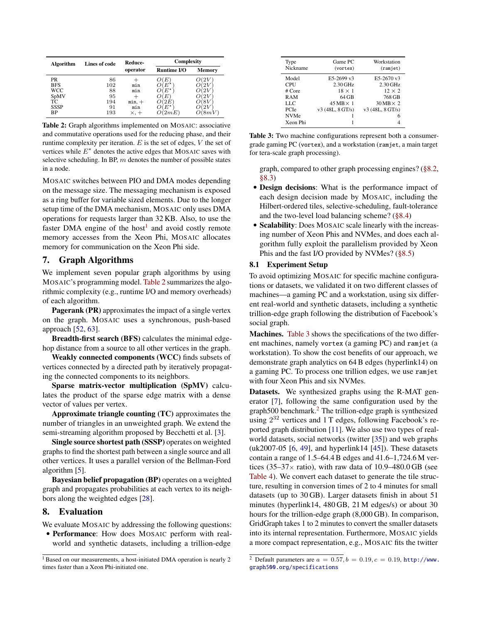<span id="page-7-3"></span>

| Algorithm   | Lines of code | Reduce-        | Complexity         |                               |  |  |
|-------------|---------------|----------------|--------------------|-------------------------------|--|--|
|             |               | operator       | <b>Runtime I/O</b> | Memory                        |  |  |
| PR          | 86            |                | Η,                 |                               |  |  |
| <b>BFS</b>  | 102           | min            | E                  |                               |  |  |
| <b>WCC</b>  | 88            | min            | $E^{\star}$        |                               |  |  |
| SpMV        | 95            |                | Е                  |                               |  |  |
| ТC          | 194           | $min. +$       | 2E                 |                               |  |  |
| <b>SSSP</b> | 91            | min            | $E^*$              |                               |  |  |
| BP          | 193           | $\times$ . $+$ | 2mE                | $_{\mathbf{R}\boldsymbol{m}}$ |  |  |

Table 2: Graph algorithms implemented on MOSAIC: associative and commutative operations used for the reducing phase, and their runtime complexity per iteration.  $E$  is the set of edges,  $V$  the set of vertices while  $E^*$  denotes the active edges that MOSAIC saves with selective scheduling. In BP,  $m$  denotes the number of possible states in a node.

MOSAIC switches between PIO and DMA modes depending on the message size. The messaging mechanism is exposed as a ring buffer for variable sized elements. Due to the longer setup time of the DMA mechanism, MOSAIC only uses DMA operations for requests larger than 32 KB. Also, to use the faster DMA engine of the host<sup>[1](#page-7-2)</sup> and avoid costly remote memory accesses from the Xeon Phi, MOSAIC allocates memory for communication on the Xeon Phi side.

# <span id="page-7-0"></span>7. Graph Algorithms

We implement seven popular graph algorithms by using MOSAIC's programming model. [Table 2](#page-7-3) summarizes the algorithmic complexity (e.g., runtime I/O and memory overheads) of each algorithm.

Pagerank (PR) approximates the impact of a single vertex on the graph. MOSAIC uses a synchronous, push-based approach [\[52,](#page-15-3) [63\]](#page-16-2).

Breadth-first search (BFS) calculates the minimal edgehop distance from a source to all other vertices in the graph.

Weakly connected components (WCC) finds subsets of vertices connected by a directed path by iteratively propagating the connected components to its neighbors.

Sparse matrix-vector multiplication (SpMV) calculates the product of the sparse edge matrix with a dense vector of values per vertex.

Approximate triangle counting (TC) approximates the number of triangles in an unweighted graph. We extend the semi-streaming algorithm proposed by Becchetti et al. [\[3\]](#page-13-5).

Single source shortest path (SSSP) operates on weighted graphs to find the shortest path between a single source and all other vertices. It uses a parallel version of the Bellman-Ford algorithm [\[5\]](#page-13-6).

Bayesian belief propagation (BP) operates on a weighted graph and propagates probabilities at each vertex to its neighbors along the weighted edges [\[28\]](#page-14-16).

## <span id="page-7-1"></span>8. Evaluation

We evaluate MOSAIC by addressing the following questions:

• Performance: How does MOSAIC perform with realworld and synthetic datasets, including a trillion-edge

<span id="page-7-4"></span>

| Type        | Game PC                     | Workstation               |
|-------------|-----------------------------|---------------------------|
| Nickname    | (vortex)                    | (ramjet)                  |
| Model       | $E5-2699$ v3                | $E5-2670$ v3              |
| CPU         | $2.30$ GHz                  | $2.30$ GHz                |
| # Core      | $18 \times 1$               | $12 \times 2$             |
| <b>RAM</b>  | $64$ GB                     | 768 GB                    |
| LLC         | $45 \,\mathrm{MB} \times 1$ | $30 \,\text{MB} \times 2$ |
| PCIe        | v3 (48L, 8 GT/s)            | v3 (48L, 8 GT/s)          |
| <b>NVMe</b> |                             | 6                         |
| Xeon Phi    |                             |                           |
|             |                             |                           |

Table 3: Two machine configurations represent both a consumergrade gaming PC (vortex), and a workstation (ramjet, a main target for tera-scale graph processing).

graph, compared to other graph processing engines? [\(§8.2,](#page-8-0) [§8.3\)](#page-9-0)

- Design decisions: What is the performance impact of each design decision made by MOSAIC, including the Hilbert-ordered tiles, selective-scheduling, fault-tolerance and the two-level load balancing scheme? [\(§8.4\)](#page-10-0)
- Scalability: Does MOSAIC scale linearly with the increasing number of Xeon Phis and NVMes, and does each algorithm fully exploit the parallelism provided by Xeon Phis and the fast I/O provided by NVMes? [\(§8.5\)](#page-12-2)

## <span id="page-7-6"></span>8.1 Experiment Setup

To avoid optimizing MOSAIC for specific machine configurations or datasets, we validated it on two different classes of machines—a gaming PC and a workstation, using six different real-world and synthetic datasets, including a synthetic trillion-edge graph following the distribution of Facebook's social graph.

Machines. [Table 3](#page-7-4) shows the specifications of the two different machines, namely vortex (a gaming PC) and ramjet (a workstation). To show the cost benefits of our approach, we demonstrate graph analytics on 64 B edges (hyperlink14) on a gaming PC. To process one trillion edges, we use ramjet with four Xeon Phis and six NVMes.

Datasets. We synthesized graphs using the R-MAT generator [\[7\]](#page-13-7), following the same configuration used by the graph500 benchmark.[2](#page-7-5) The trillion-edge graph is synthesized using  $2^{32}$  vertices and 1 T edges, following Facebook's reported graph distribution [\[11\]](#page-13-0). We also use two types of realworld datasets, social networks (twitter [\[35\]](#page-14-17)) and web graphs (uk2007-05  $[6, 49]$  $[6, 49]$  $[6, 49]$ , and hyperlink14  $[45]$ ). These datasets contain a range of 1.5–64.4 B edges and 41.6–1,724.6 M vertices (35–37 $\times$  ratio), with raw data of 10.9–480.0 GB (see [Table 4\)](#page-8-1). We convert each dataset to generate the tile structure, resulting in conversion times of 2 to 4 minutes for small datasets (up to 30 GB). Larger datasets finish in about 51 minutes (hyperlink14, 480 GB, 21 M edges/s) or about 30 hours for the trillion-edge graph (8,000 GB). In comparison, GridGraph takes 1 to 2 minutes to convert the smaller datasets into its internal representation. Furthermore, MOSAIC yields a more compact representation, e.g., MOSAIC fits the twitter

<span id="page-7-2"></span><sup>&</sup>lt;sup>1</sup> Based on our measurements, a host-initiated DMA operation is nearly 2 times faster than a Xeon Phi-initiated one.

<span id="page-7-5"></span><sup>&</sup>lt;sup>2</sup> Default parameters are  $a = 0.57$ ,  $b = 0.19$ ,  $c = 0.19$ , [http://www.](http://www.graph500.org/specifications) [graph500.org/specifications](http://www.graph500.org/specifications)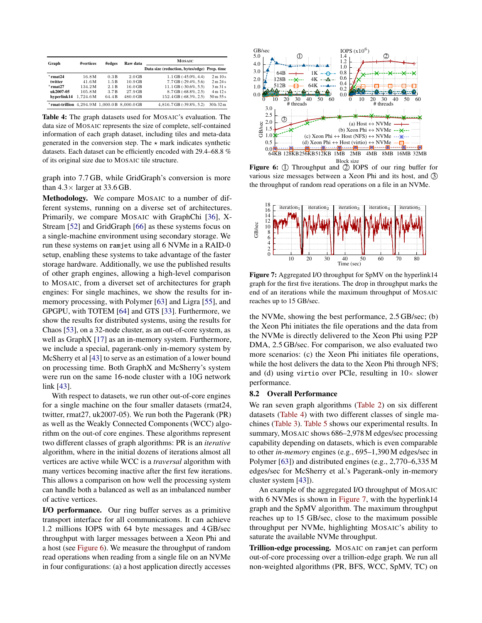<span id="page-8-1"></span>

| Graph                                      | #vertices | #edges | Raw data  | <b>MOSAIC</b>                                |                             |  |  |  |
|--------------------------------------------|-----------|--------|-----------|----------------------------------------------|-----------------------------|--|--|--|
|                                            |           |        |           | Data size (reduction, bytes/edge) Prep. time |                             |  |  |  |
| $*$ rmat $24$                              | 16.8M     | 0.3B   | $2.0$ GB  | $1.1$ GB $(-45.0\%, 4.4)$                    | 2m10s                       |  |  |  |
| twitter                                    | 41.6M     | 1.5B   | $10.9$ GB | 7.7 GB (-29.4%, 5.6)                         | 2 m 24 s                    |  |  |  |
| $*$ rmat $27$                              | 134.2M    | 2.1B   | $16.0$ GB | 11.1 GB (-30.6%, 5.5)                        | 3m31s                       |  |  |  |
| uk2007-05                                  | 105.8M    | 3.7 B  | 27.9 GB   | 8.7 GB (-68.8%, 2.5)                         | 4m12s                       |  |  |  |
| hyperlink14                                | 1.724.6M  | 64.4B  | 480.0GB   | 152.4 GB (-68.3%, 2.5)                       | $50 \text{ m} 55 \text{ s}$ |  |  |  |
| *rmat-trillion 4,294.9M 1,000.0B 8,000.0GB |           |        |           | 4.816.7 GB (-39.8%, 5.2)                     | 30h32m                      |  |  |  |

Table 4: The graph datasets used for MOSAIC's evaluation. The data size of MOSAIC represents the size of complete, self-contained information of each graph dataset, including tiles and meta-data generated in the conversion step. The  $\star$  mark indicates synthetic datasets. Each dataset can be efficiently encoded with 29.4–68.8 % of its original size due to MOSAIC tile structure.

graph into 7.7 GB, while GridGraph's conversion is more than  $4.3 \times$  larger at 33.6 GB.

Methodology. We compare MOSAIC to a number of different systems, running on a diverse set of architectures. Primarily, we compare MOSAIC with GraphChi [\[36\]](#page-14-3), X-Stream [\[52\]](#page-15-3) and GridGraph [\[66\]](#page-16-1) as these systems focus on a single-machine environment using secondary storage. We run these systems on ramjet using all 6 NVMe in a RAID-0 setup, enabling these systems to take advantage of the faster storage hardware. Additionally, we use the published results of other graph engines, allowing a high-level comparison to MOSAIC, from a diverset set of architectures for graph engines: For single machines, we show the results for inmemory processing, with Polymer [\[63\]](#page-16-2) and Ligra [\[55\]](#page-15-5), and GPGPU, with TOTEM [\[64\]](#page-16-3) and GTS [\[33\]](#page-14-2). Furthermore, we show the results for distributed systems, using the results for Chaos [\[53\]](#page-15-1), on a 32-node cluster, as an out-of-core system, as well as GraphX [\[17\]](#page-14-5) as an in-memory system. Furthermore, we include a special, pagerank-only in-memory system by McSherry et al [\[43\]](#page-15-6) to serve as an estimation of a lower bound on processing time. Both GraphX and McSherry's system were run on the same 16-node cluster with a 10G network link [\[43\]](#page-15-6).

With respect to datasets, we run other out-of-core engines for a single machine on the four smaller datasets (rmat24, twitter, rmat27, uk2007-05). We run both the Pagerank (PR) as well as the Weakly Connected Components (WCC) algorithm on the out-of core engines. These algorithms represent two different classes of graph algorithms: PR is an *iterative* algorithm, where in the initial dozens of iterations almost all vertices are active while WCC is a *traversal* algorithm with many vertices becoming inactive after the first few iterations. This allows a comparison on how well the processing system can handle both a balanced as well as an imbalanced number of active vertices.

I/O performance. Our ring buffer serves as a primitive transport interface for all communications. It can achieve 1.2 millions IOPS with 64 byte messages and 4 GB/sec throughput with larger messages between a Xeon Phi and a host (see [Figure 6\)](#page-8-2). We measure the throughput of random read operations when reading from a single file on an NVMe in four configurations: (a) a host application directly accesses

<span id="page-8-2"></span>

Figure 6: 1 Throughput and 2 IOPS of our ring buffer for various size messages between a Xeon Phi and its host, and  $\circled{3}$ the throughput of random read operations on a file in an NVMe.

<span id="page-8-3"></span>

Figure 7: Aggregated I/O throughput for SpMV on the hyperlink14 graph for the first five iterations. The drop in throughput marks the end of an iterations while the maximum throughput of MOSAIC reaches up to 15 GB/sec.

the NVMe, showing the best performance, 2.5 GB/sec; (b) the Xeon Phi initiates the file operations and the data from the NVMe is directly delivered to the Xeon Phi using P2P DMA, 2.5 GB/sec. For comparison, we also evaluated two more scenarios: (c) the Xeon Phi initiates file operations, while the host delivers the data to the Xeon Phi through NFS; and (d) using virtio over PCIe, resulting in  $10\times$  slower performance.

#### <span id="page-8-0"></span>8.2 Overall Performance

We ran seven graph algorithms [\(Table 2\)](#page-7-3) on six different datasets [\(Table 4\)](#page-8-1) with two different classes of single machines [\(Table 3\)](#page-7-4). [Table 5](#page-9-1) shows our experimental results. In summary, MOSAIC shows 686–2,978 M edges/sec processing capability depending on datasets, which is even comparable to other *in-memory* engines (e.g., 695–1,390 M edges/sec in Polymer [\[63\]](#page-16-2)) and distributed engines (e.g., 2,770–6,335 M edges/sec for McSherry et al.'s Pagerank-only in-memory cluster system [\[43\]](#page-15-6)).

An example of the aggregated I/O throughput of MOSAIC with 6 NVMes is shown in [Figure 7,](#page-8-3) with the hyperlink14 graph and the SpMV algorithm. The maximum throughput reaches up to 15 GB/sec, close to the maximum possible throughput per NVMe, highlighting MOSAIC's ability to saturate the available NVMe throughput.

Trillion-edge processing. MOSAIC on ramjet can perform out-of-core processing over a trillion-edge graph. We run all non-weighted algorithms (PR, BFS, WCC, SpMV, TC) on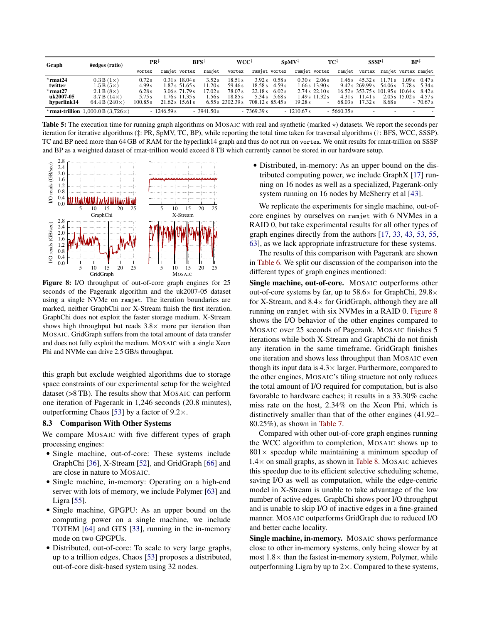<span id="page-9-1"></span>

| Graph         | #edges (ratio)                                   | $PR^{\ddagger}$ |                   |                | $BFS^{\dagger}$<br>WCC <sup>†</sup> |                    | $\text{SDMV}^{\ddagger}$ |               |               | TC‡                      |              | <b>SSSP1</b><br>$BP^{\ddagger}$ |                                   |                  |                       |
|---------------|--------------------------------------------------|-----------------|-------------------|----------------|-------------------------------------|--------------------|--------------------------|---------------|---------------|--------------------------|--------------|---------------------------------|-----------------------------------|------------------|-----------------------|
|               |                                                  | vortex          | ramjet vortex     |                | ramiet                              | vortex             |                          | ramjet vortex | ramjet vortex |                          | ramiet       | vortex                          |                                   |                  | ramjet vortex ramjet  |
| $*$ rmat $24$ | $0.3 B(1\times)$                                 | 0.72 s          | $0.31 s$ 18.04 s  |                | 3.52 s                              | 18.51 s            | 3.92 s                   | 0.58 s        |               | $0.30 s$ 2.06 s          | 1.46 s       | 45.32 s                         | 1171s                             |                  | $1.09 s \quad 0.47 s$ |
| twitter       | $1.5B(5\times)$                                  | 4.99 s          |                   | $1.87s$ 51.65s | 11.20 s                             | 59.46 s            | 18.58 s                  | 4.59 s        |               | $1.66 s$ 13.90 s         |              | $9.42 s$ 269.99 s               |                                   |                  | 54.06 s 7.78 s 5.34 s |
| $*$ rmat $27$ | $2.1 B(8\times)$                                 | 6.28 s          | 3.06 s 71.79 s    |                | 17.02 s                             | 78.07 s            | 22.18 s                  | 6.02 s        |               | $2.74 s$ 22.10 s         |              |                                 | 16.52 s 353.75 s 101.95 s 10.64 s |                  | 8.42 s                |
| uk2007-05     | 3.7 B (14x)                                      | 5.75 s          |                   | $1.76s$ 11.35s | .56s                                | 18.85 s            | 5.34 s                   | 5.68 s        |               | $1.49 s$ 11.32s          | 4.31 s       | 11.41 s                         |                                   | $2.05 s$ 15.02 s | 4.57 s                |
| hyperlink14   | 64.4 <b>B</b> $(240 \times)$                     | 100.85 s        | $21.62 s$ 15.61 s |                |                                     | $6.55 s$ 2302.39 s | 708.12 s 85.45 s         |               | 19.28 s       | $\overline{\phantom{0}}$ | 68.03 s      | 17.32 s                         | 8.68 s                            |                  | $-70.67 s$            |
|               | <b>*rmat-trillion</b> $1,000.0 B (3,726 \times)$ |                 | $-1246.59 s$      |                | $-3941.50 s$                        |                    | $-7369.39 s$             |               | $-1210.67$ s  |                          | $-5660.35$ s |                                 |                                   |                  |                       |

Table 5: The execution time for running graph algorithms on MOSAIC with real and synthetic (marked  $\star$ ) datasets. We report the seconds per iteration for iterative algorithms (‡: PR, SpMV, TC, BP), while reporting the total time taken for traversal algorithms (†: BFS, WCC, SSSP). TC and BP need more than 64 GB of RAM for the hyperlink14 graph and thus do not run on vortex. We omit results for rmat-trillion on SSSP and BP as a weighted dataset of rmat-trillion would exceed 8 TB which currently cannot be stored in our hardware setup.

<span id="page-9-2"></span>

Figure 8: I/O throughput of out-of-core graph engines for 25 seconds of the Pagerank algorithm and the uk2007-05 dataset using a single NVMe on ramjet. The iteration boundaries are marked, neither GraphChi nor X-Stream finish the first iteration. GraphChi does not exploit the faster storage medium. X-Stream shows high throughput but reads  $3.8\times$  more per iteration than MOSAIC. GridGraph suffers from the total amount of data transfer and does not fully exploit the medium. MOSAIC with a single Xeon Phi and NVMe can drive 2.5 GB/s throughput.

this graph but exclude weighted algorithms due to storage space constraints of our experimental setup for the weighted dataset (>8 TB). The results show that MOSAIC can perform one iteration of Pagerank in 1,246 seconds (20.8 minutes), outperforming Chaos [\[53\]](#page-15-1) by a factor of  $9.2 \times$ .

#### <span id="page-9-0"></span>8.3 Comparison With Other Systems

We compare MOSAIC with five different types of graph processing engines:

- Single machine, out-of-core: These systems include GraphChi [\[36\]](#page-14-3), X-Stream [\[52\]](#page-15-3), and GridGraph [\[66\]](#page-16-1) and are close in nature to MOSAIC.
- Single machine, in-memory: Operating on a high-end server with lots of memory, we include Polymer [\[63\]](#page-16-2) and Ligra [\[55\]](#page-15-5).
- Single machine, GPGPU: As an upper bound on the computing power on a single machine, we include TOTEM [\[64\]](#page-16-3) and GTS [\[33\]](#page-14-2), running in the in-memory mode on two GPGPUs.
- Distributed, out-of-core: To scale to very large graphs, up to a trillion edges, Chaos [\[53\]](#page-15-1) proposes a distributed, out-of-core disk-based system using 32 nodes.

• Distributed, in-memory: As an upper bound on the distributed computing power, we include GraphX [\[17\]](#page-14-5) running on 16 nodes as well as a specialized, Pagerank-only system running on 16 nodes by McSherry et al [\[43\]](#page-15-6).

We replicate the experiments for single machine, out-ofcore engines by ourselves on ramjet with 6 NVMes in a RAID 0, but take experimental results for all other types of graph engines directly from the authors [\[17,](#page-14-5) [33,](#page-14-2) [43,](#page-15-6) [53,](#page-15-1) [55,](#page-15-5) [63\]](#page-16-2), as we lack appropriate infrastructure for these systems.

The results of this comparison with Pagerank are shown in [Table 6.](#page-10-1) We split our discussion of the comparison into the different types of graph engines mentioned:

Single machine, out-of-core. MOSAIC outperforms other out-of-core systems by far, up to  $58.6 \times$  for GraphChi,  $29.8 \times$ for X-Stream, and  $8.4\times$  for GridGraph, although they are all running on ramjet with six NVMes in a RAID 0. [Figure 8](#page-9-2) shows the I/O behavior of the other engines compared to MOSAIC over 25 seconds of Pagerank. MOSAIC finishes 5 iterations while both X-Stream and GraphChi do not finish any iteration in the same timeframe. GridGraph finishes one iteration and shows less throughput than MOSAIC even though its input data is  $4.3 \times$  larger. Furthermore, compared to the other engines, MOSAIC's tiling structure not only reduces the total amount of I/O required for computation, but is also favorable to hardware caches; it results in a 33.30% cache miss rate on the host, 2.34% on the Xeon Phi, which is distinctively smaller than that of the other engines (41.92– 80.25%), as shown in [Table 7.](#page-10-2)

Compared with other out-of-core graph engines running the WCC algorithm to completion, MOSAIC shows up to  $801\times$  speedup while maintaining a minimum speedup of  $1.4\times$  on small graphs, as shown in [Table 8.](#page-10-3) MOSAIC achieves this speedup due to its efficient selective scheduling scheme, saving I/O as well as computation, while the edge-centric model in X-Stream is unable to take advantage of the low number of active edges. GraphChi shows poor I/O throughput and is unable to skip I/O of inactive edges in a fine-grained manner. MOSAIC outperforms GridGraph due to reduced I/O and better cache locality.

Single machine, in-memory. MOSAIC shows performance close to other in-memory systems, only being slower by at most  $1.8 \times$  than the fastest in-memory system, Polymer, while outperforming Ligra by up to  $2 \times$ . Compared to these systems,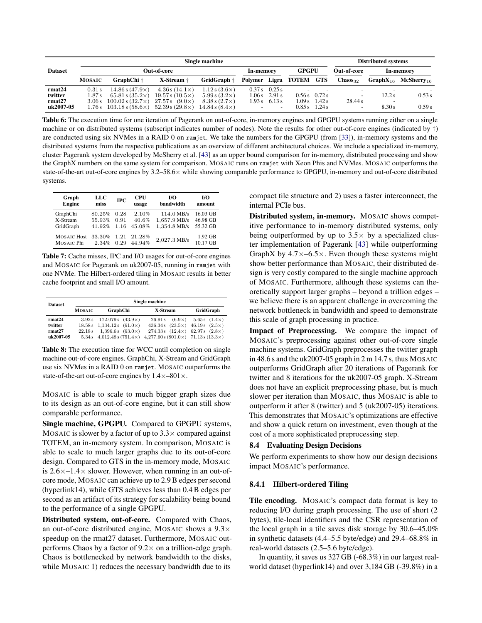<span id="page-10-1"></span>

|                                          |                            |                                                                                                                   | <b>Distributed systems</b>                                                                     |                                                                                 |                                                        |                            |       |                                                         |                          |                 |                  |
|------------------------------------------|----------------------------|-------------------------------------------------------------------------------------------------------------------|------------------------------------------------------------------------------------------------|---------------------------------------------------------------------------------|--------------------------------------------------------|----------------------------|-------|---------------------------------------------------------|--------------------------|-----------------|------------------|
| <b>Dataset</b>                           | Out-of-core                |                                                                                                                   |                                                                                                |                                                                                 |                                                        | GPGPU<br>In-memory         |       |                                                         | Out-of-core<br>In-memory |                 |                  |
|                                          | <b>MOSAIC</b>              | GraphChi †                                                                                                        | X-Stream +                                                                                     | GridGraph †                                                                     | Polymer                                                | Ligra                      | TOTEM | GTS                                                     | Chaos39.                 | $GraphX_{16}$   | $McSherry_{16}$  |
| rmat24<br>twitter<br>rmat27<br>uk2007-05 | 0.31 s<br>1.87 s<br>3.06 s | $14.86 s (47.9\times)$<br>$65.81 s (35.2\times)$<br>$100.02 s (32.7\times)$<br>$1.76 s$ 103.18 s (58.6 $\times$ ) | 4.36 s $(14.1\times)$<br>19.57 s (10.5x)<br>$27.57 s$ $(9.0 \times)$<br>$52.39 s (29.8\times)$ | $1.12 s (3.6\times)$<br>5.99 s (3.2x)<br>8.38 s (2.7x)<br>$14.84 s (8.4\times)$ | 0.37 s<br>1.06 s<br>1.93 s<br>$\overline{\phantom{0}}$ | 0.25 s<br>2.91 s<br>6.13 s |       | $0.56 s$ $0.72 s$<br>$1.09 s$ 1.42 s<br>$0.85 s$ 1.24 s | 28.44 s                  | 12.2s<br>8.30 s | 0.53 s<br>0.59 s |

Table 6: The execution time for one iteration of Pagerank on out-of-core, in-memory engines and GPGPU systems running either on a single machine or on distributed systems (subscript indicates number of nodes). Note the results for other out-of-core engines (indicated by †) are conducted using six NVMes in a RAID 0 on ramjet. We take the numbers for the GPGPU (from [\[33\]](#page-14-2)), in-memory systems and the distributed systems from the respective publications as an overview of different architectural choices. We include a specialized in-memory, cluster Pagerank system developed by McSherry et al. [\[43\]](#page-15-6) as an upper bound comparison for in-memory, distributed processing and show the GraphX numbers on the same system for comparison. MOSAIC runs on ramjet with Xeon Phis and NVMes. MOSAIC outperforms the state-of-the-art out-of-core engines by 3.2–58.6× while showing comparable performance to GPGPU, in-memory and out-of-core distributed systems.

<span id="page-10-2"></span>

| Graph              | LLC    | <b>IPC</b> | <b>CPU</b> | 1/O          | I/O        |
|--------------------|--------|------------|------------|--------------|------------|
| Engine             | miss   |            | usage      | bandwidth    | amount     |
| GraphChi           | 80.25% | 0.28       | 2.10%      | 114.0 MB/s   | $16.03$ GB |
| X-Stream           | 55.93% | 0.91       | 40.6%      | 1,657.9 MB/s | 46.98 GB   |
| GridGraph          | 41.92% | 1.16       | 45.08%     | 1,354.8 MB/s | 55.32 GB   |
| <b>MOSAIC Host</b> | 33.30% | 1.21       | 21.28%     | 2,027.3 MB/s | 1.92 GB    |
| MOSAIC Phi         | 2.34%  | 0.29       | 44.94%     |              | 10.17 GB   |

Table 7: Cache misses, IPC and I/O usages for out-of-core engines and MOSAIC for Pagerank on uk2007-05, running in ramjet with one NVMe. The Hilbert-ordered tiling in MOSAIC results in better cache footprint and small I/O amount.

<span id="page-10-3"></span>

| <b>Dataset</b> | Single machine |                                     |                                                       |                      |  |  |  |  |  |
|----------------|----------------|-------------------------------------|-------------------------------------------------------|----------------------|--|--|--|--|--|
|                | <b>MOSAIC</b>  | GraphChi                            | X-Stream                                              | GridGraph            |  |  |  |  |  |
| rmat24         | 3.92s          | $172.079 s$ $(43.9\times)$          | $(6.9\times)$<br>26.91 s                              | 5.65 s $(1.4\times)$ |  |  |  |  |  |
| twitter        |                | $18.58 s$ 1, 134.12s $(61.0\times)$ | $436.34 s$ $(23.5 \times)$ $46.19 s$ $(2.5 \times)$   |                      |  |  |  |  |  |
| rmat27         | 22.18 s        | $1.396.6 s$ $(63.0\times)$          | $274.33 s$ $(12.4 \times) 62.97 s$ $(2.8 \times)$     |                      |  |  |  |  |  |
| uk2007-05      |                | 5.34 s $4,012.48$ s $(751.4\times)$ | $4,277.60$ s $(801.0 \times)$ 71.13 s $(13.3 \times)$ |                      |  |  |  |  |  |

Table 8: The execution time for WCC until completion on single machine out-of-core engines. GraphChi, X-Stream and GridGraph use six NVMes in a RAID 0 on ramjet. MOSAIC outperforms the state-of-the-art out-of-core engines by  $1.4\times-801\times$ .

MOSAIC is able to scale to much bigger graph sizes due to its design as an out-of-core engine, but it can still show comparable performance.

Single machine, GPGPU. Compared to GPGPU systems, MOSAIC is slower by a factor of up to  $3.3\times$  compared against TOTEM, an in-memory system. In comparison, MOSAIC is able to scale to much larger graphs due to its out-of-core design. Compared to GTS in the in-memory mode, MOSAIC is  $2.6 \times -1.4 \times$  slower. However, when running in an out-ofcore mode, MOSAIC can achieve up to 2.9 B edges per second (hyperlink14), while GTS achieves less than 0.4B edges per second as an artifact of its strategy for scalability being bound to the performance of a single GPGPU.

Distributed system, out-of-core. Compared with Chaos, an out-of-core distributed engine, MOSAIC shows a 9.3× speedup on the rmat27 dataset. Furthermore, MOSAIC outperforms Chaos by a factor of  $9.2 \times$  on a trillion-edge graph. Chaos is bottlenecked by network bandwidth to the disks, while MOSAIC 1) reduces the necessary bandwidth due to its

compact tile structure and 2) uses a faster interconnect, the internal PCIe bus.

Distributed system, in-memory. MOSAIC shows competitive performance to in-memory distributed systems, only being outperformed by up to  $3.5\times$  by a specialized cluster implementation of Pagerank [\[43\]](#page-15-6) while outperforming GraphX by  $4.7 \times -6.5 \times$ . Even though these systems might show better performance than MOSAIC, their distributed design is very costly compared to the single machine approach of MOSAIC. Furthermore, although these systems can theoretically support larger graphs – beyond a trillion edges – we believe there is an apparent challenge in overcoming the network bottleneck in bandwidth and speed to demonstrate this scale of graph processing in practice.

Impact of Preprocessing. We compare the impact of MOSAIC's preprocessing against other out-of-core single machine systems. GridGraph preprocesses the twitter graph in 48.6 s and the uk2007-05 graph in 2 m 14.7 s, thus MOSAIC outperforms GridGraph after 20 iterations of Pagerank for twitter and 8 iterations for the uk2007-05 graph. X-Stream does not have an explicit preprocessing phase, but is much slower per iteration than MOSAIC, thus MOSAIC is able to outperform it after 8 (twitter) and 5 (uk2007-05) iterations. This demonstrates that MOSAIC's optimizations are effective and show a quick return on investment, even though at the cost of a more sophisticated preprocessing step.

# <span id="page-10-0"></span>8.4 Evaluating Design Decisions

We perform experiments to show how our design decisions impact MOSAIC's performance.

## 8.4.1 Hilbert-ordered Tiling

Tile encoding. MOSAIC's compact data format is key to reducing I/O during graph processing. The use of short (2 bytes), tile-local identifiers and the CSR representation of the local graph in a tile saves disk storage by 30.6–45.0% in synthetic datasets (4.4–5.5 byte/edge) and 29.4–68.8% in real-world datasets (2.5–5.6 byte/edge).

In quantity, it saves us 327 GB (-68.3%) in our largest realworld dataset (hyperlink14) and over 3,184 GB (-39.8%) in a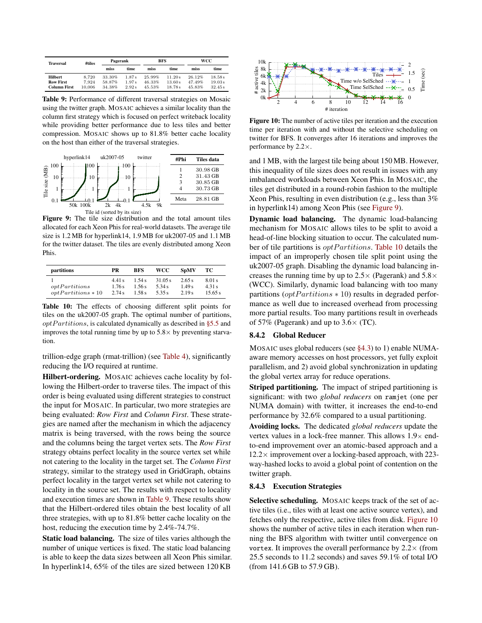<span id="page-11-1"></span>

| Traversal           | #tiles | Pagerank |        | <b>BFS</b> |         | <b>WCC</b> |         |
|---------------------|--------|----------|--------|------------|---------|------------|---------|
|                     |        | miss     | time   | miss       | time    | miss       | time    |
| <b>Hilbert</b>      | 8.720  | 33.30%   | 1.87 s | 25.99%     | 11.20s  | 26.12%     | 18.58 s |
| <b>Row First</b>    | 7.924  | 58.87%   | 1.97s  | 46.33%     | 13.60 s | 47.49%     | 19.03 s |
| <b>Column First</b> | 10.006 | 34.38%   | 2.92 s | 45.53%     | 18.78s  | 45.83%     | 32.45s  |

Table 9: Performance of different traversal strategies on Mosaic using the twitter graph. MOSAIC achieves a similar locality than the column first strategy which is focused on perfect writeback locality while providing better performance due to less tiles and better compression. MOSAIC shows up to 81.8% better cache locality on the host than either of the traversal strategies.

<span id="page-11-0"></span>

Figure 9: The tile size distribution and the total amount tiles allocated for each Xeon Phis for real-world datasets. The average tile size is 1.2 MB for hyperlink14, 1.9 MB for uk2007-05 and 1.1 MB for the twitter dataset. The tiles are evenly distributed among Xeon Phis.

<span id="page-11-2"></span>

| partitions                            | РR                       | <b>BFS</b>               | WCC                         | <b>SpMV</b>               | TС                          |
|---------------------------------------|--------------------------|--------------------------|-----------------------------|---------------------------|-----------------------------|
| optPartitions<br>$optPartitions * 10$ | 4.41 s<br>1.76s<br>2.74s | 1.54s<br>1.56s<br>1.58 s | 31.05 s<br>5.34 s<br>5.35 s | 2.65 s<br>1.49 s<br>2.19s | 8.01 s<br>4.31 s<br>15.65 s |

Table 10: The effects of choosing different split points for tiles on the uk2007-05 graph. The optimal number of partitions,  $optPartitions$ , is calculated dynamically as described in [§5.5](#page-6-1) and improves the total running time by up to  $5.8\times$  by preventing starvation.

trillion-edge graph (rmat-trillion) (see [Table 4\)](#page-8-1), significantly reducing the I/O required at runtime.

Hilbert-ordering. MOSAIC achieves cache locality by following the Hilbert-order to traverse tiles. The impact of this order is being evaluated using different strategies to construct the input for MOSAIC. In particular, two more strategies are being evaluated: *Row First* and *Column First*. These strategies are named after the mechanism in which the adjacency matrix is being traversed, with the rows being the source and the columns being the target vertex sets. The *Row First* strategy obtains perfect locality in the source vertex set while not catering to the locality in the target set. The *Column First* strategy, similar to the strategy used in GridGraph, obtains perfect locality in the target vertex set while not catering to locality in the source set. The results with respect to locality and execution times are shown in [Table 9.](#page-11-1) These results show that the Hilbert-ordered tiles obtain the best locality of all three strategies, with up to 81.8% better cache locality on the host, reducing the execution time by 2.4%-74.7%.

Static load balancing. The size of tiles varies although the number of unique vertices is fixed. The static load balancing is able to keep the data sizes between all Xeon Phis similar. In hyperlink14, 65% of the tiles are sized between 120 KB

<span id="page-11-3"></span>

Figure 10: The number of active tiles per iteration and the execution time per iteration with and without the selective scheduling on twitter for BFS. It converges after 16 iterations and improves the performance by 2.2×.

and 1 MB, with the largest tile being about 150 MB. However, this inequality of tile sizes does not result in issues with any imbalanced workloads between Xeon Phis. In MOSAIC, the tiles get distributed in a round-robin fashion to the multiple Xeon Phis, resulting in even distribution (e.g., less than 3% in hyperlink14) among Xeon Phis (see [Figure 9\)](#page-11-0).

Dynamic load balancing. The dynamic load-balancing mechanism for MOSAIC allows tiles to be split to avoid a head-of-line blocking situation to occur. The calculated number of tile partitions is  $optPartitions$ . [Table 10](#page-11-2) details the impact of an improperly chosen tile split point using the uk2007-05 graph. Disabling the dynamic load balancing increases the running time by up to  $2.5 \times$  (Pagerank) and  $5.8 \times$ (WCC). Similarly, dynamic load balancing with too many partitions ( $optPartitions * 10$ ) results in degraded performance as well due to increased overhead from processing more partial results. Too many partitions result in overheads of 57% (Pagerank) and up to  $3.6 \times$  (TC).

#### 8.4.2 Global Reducer

MOSAIC uses global reducers (see [§4.3\)](#page-4-0) to 1) enable NUMAaware memory accesses on host processors, yet fully exploit parallelism, and 2) avoid global synchronization in updating the global vertex array for reduce operations.

Striped partitioning. The impact of striped partitioning is significant: with two *global reducers* on ramjet (one per NUMA domain) with twitter, it increases the end-to-end performance by 32.6% compared to a usual partitioning.

Avoiding locks. The dedicated *global reducers* update the vertex values in a lock-free manner. This allows  $1.9\times$  endto-end improvement over an atomic-based approach and a  $12.2\times$  improvement over a locking-based approach, with 223way-hashed locks to avoid a global point of contention on the twitter graph.

#### 8.4.3 Execution Strategies

Selective scheduling. MOSAIC keeps track of the set of active tiles (i.e., tiles with at least one active source vertex), and fetches only the respective, active tiles from disk. [Figure 10](#page-11-3) shows the number of active tiles in each iteration when running the BFS algorithm with twitter until convergence on vortex. It improves the overall performance by  $2.2 \times$  (from 25.5 seconds to 11.2 seconds) and saves 59.1% of total I/O (from 141.6 GB to 57.9 GB).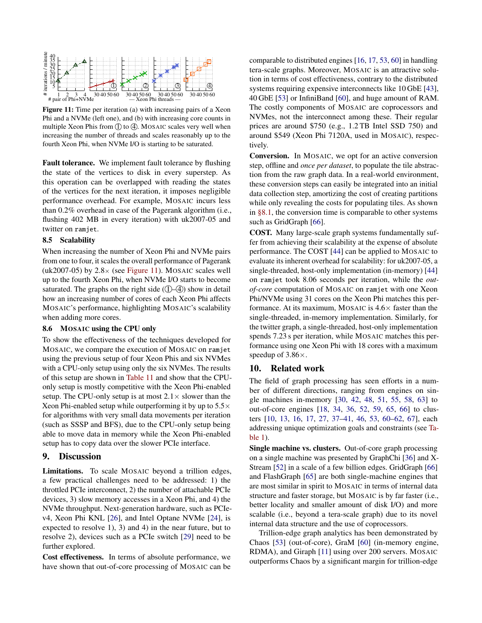<span id="page-12-3"></span>

Figure 11: Time per iteration (a) with increasing pairs of a Xeon Phi and a NVMe (left one), and (b) with increasing core counts in multiple Xeon Phis from  $\textcircled{1}$  to  $\textcircled{4}$ . MOSAIC scales very well when increasing the number of threads and scales reasonably up to the fourth Xeon Phi, when NVMe I/O is starting to be saturated.

Fault tolerance. We implement fault tolerance by flushing the state of the vertices to disk in every superstep. As this operation can be overlapped with reading the states of the vertices for the next iteration, it imposes negligible performance overhead. For example, MOSAIC incurs less than 0.2% overhead in case of the Pagerank algorithm (i.e., flushing 402 MB in every iteration) with uk2007-05 and twitter on ramjet.

#### <span id="page-12-2"></span>8.5 Scalability

When increasing the number of Xeon Phi and NVMe pairs from one to four, it scales the overall performance of Pagerank (uk2007-05) by  $2.8 \times$  (see [Figure 11\)](#page-12-3). MOSAIC scales well up to the fourth Xeon Phi, when NVMe I/O starts to become saturated. The graphs on the right side  $(1 - 4)$  show in detail how an increasing number of cores of each Xeon Phi affects MOSAIC's performance, highlighting MOSAIC's scalability when adding more cores.

#### 8.6 MOSAIC using the CPU only

To show the effectiveness of the techniques developed for MOSAIC, we compare the execution of MOSAIC on ramjet using the previous setup of four Xeon Phis and six NVMes with a CPU-only setup using only the six NVMes. The results of this setup are shown in [Table 11](#page-13-9) and show that the CPUonly setup is mostly competitive with the Xeon Phi-enabled setup. The CPU-only setup is at most  $2.1 \times$  slower than the Xeon Phi-enabled setup while outperforming it by up to  $5.5\times$ for algorithms with very small data movements per iteration (such as SSSP and BFS), due to the CPU-only setup being able to move data in memory while the Xeon Phi-enabled setup has to copy data over the slower PCIe interface.

## <span id="page-12-0"></span>9. Discussion

Limitations. To scale MOSAIC beyond a trillion edges, a few practical challenges need to be addressed: 1) the throttled PCIe interconnect, 2) the number of attachable PCIe devices, 3) slow memory accesses in a Xeon Phi, and 4) the NVMe throughput. Next-generation hardware, such as PCIev4, Xeon Phi KNL [\[26\]](#page-14-18), and Intel Optane NVMe [\[24\]](#page-14-19), is expected to resolve 1), 3) and 4) in the near future, but to resolve 2), devices such as a PCIe switch [\[29\]](#page-14-20) need to be further explored.

Cost effectiveness. In terms of absolute performance, we have shown that out-of-core processing of MOSAIC can be

comparable to distributed engines [\[16,](#page-14-15) [17,](#page-14-5) [53,](#page-15-1) [60\]](#page-15-0) in handling tera-scale graphs. Moreover, MOSAIC is an attractive solution in terms of cost effectiveness, contrary to the distributed systems requiring expensive interconnects like 10 GbE [\[43\]](#page-15-6), 40 GbE [\[53\]](#page-15-1) or InfiniBand [\[60\]](#page-15-0), and huge amount of RAM. The costly components of MOSAIC are coprocessors and NVMes, not the interconnect among these. Their regular prices are around \$750 (e.g., 1.2 TB Intel SSD 750) and around \$549 (Xeon Phi 7120A, used in MOSAIC), respectively.

Conversion. In MOSAIC, we opt for an active conversion step, offline and *once per dataset*, to populate the tile abstraction from the raw graph data. In a real-world environment, these conversion steps can easily be integrated into an initial data collection step, amortizing the cost of creating partitions while only revealing the costs for populating tiles. As shown in [§8.1,](#page-7-6) the conversion time is comparable to other systems such as GridGraph [\[66\]](#page-16-1).

COST. Many large-scale graph systems fundamentally suffer from achieving their scalability at the expense of absolute performance. The COST [\[44\]](#page-15-9) can be applied to MOSAIC to evaluate its inherent overhead for scalability: for uk2007-05, a single-threaded, host-only implementation (in-memory) [\[44\]](#page-15-9) on ramjet took 8.06 seconds per iteration, while the *outof-core* computation of MOSAIC on ramjet with one Xeon Phi/NVMe using 31 cores on the Xeon Phi matches this performance. At its maximum, MOSAIC is  $4.6\times$  faster than the single-threaded, in-memory implementation. Similarly, for the twitter graph, a single-threaded, host-only implementation spends 7.23 s per iteration, while MOSAIC matches this performance using one Xeon Phi with 18 cores with a maximum speedup of  $3.86\times$ .

## <span id="page-12-1"></span>10. Related work

The field of graph processing has seen efforts in a number of different directions, ranging from engines on single machines in-memory [\[30,](#page-14-21) [42,](#page-15-13) [48,](#page-15-4) [51,](#page-15-14) [55,](#page-15-5) [58,](#page-15-15) [63\]](#page-16-2) to out-of-core engines [\[18,](#page-14-1) [34,](#page-14-22) [36,](#page-14-3) [52,](#page-15-3) [59,](#page-15-16) [65,](#page-16-0) [66\]](#page-16-1) to clusters [\[10,](#page-13-10) [13,](#page-14-23) [16,](#page-14-15) [17,](#page-14-5) [27,](#page-14-24) [37–](#page-14-0)[41,](#page-15-17) [46,](#page-15-18) [53,](#page-15-1) [60](#page-15-0)[–62,](#page-16-4) [67\]](#page-16-5), each addressing unique optimization goals and constraints (see [Ta](#page-1-0)[ble 1\)](#page-1-0).

Single machine vs. clusters. Out-of-core graph processing on a single machine was presented by GraphChi [\[36\]](#page-14-3) and X-Stream [\[52\]](#page-15-3) in a scale of a few billion edges. GridGraph [\[66\]](#page-16-1) and FlashGraph [\[65\]](#page-16-0) are both single-machine engines that are most similar in spirit to MOSAIC in terms of internal data structure and faster storage, but MOSAIC is by far faster (i.e., better locality and smaller amount of disk I/O) and more scalable (i.e., beyond a tera-scale graph) due to its novel internal data structure and the use of coprocessors.

Trillion-edge graph analytics has been demonstrated by Chaos [\[53\]](#page-15-1) (out-of-core), GraM [\[60\]](#page-15-0) (in-memory engine, RDMA), and Giraph [\[11\]](#page-13-0) using over 200 servers. MOSAIC outperforms Chaos by a significant margin for trillion-edge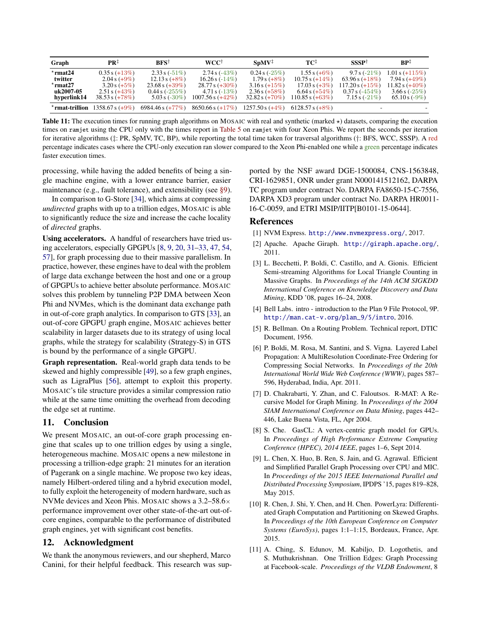<span id="page-13-9"></span>

| Graph                                                           | $PR^{\ddagger}$                                                                              | <b>BFS</b> <sup>†</sup>                                                                            | WCC <sup>+</sup>                                                                                      | $SDMV^{\ddagger}$                                                                               | $TC^{\ddagger}$                                                                                  | SSSP <sup>†</sup>                                                                                 | $BP^{\ddagger}$                                                                                   |
|-----------------------------------------------------------------|----------------------------------------------------------------------------------------------|----------------------------------------------------------------------------------------------------|-------------------------------------------------------------------------------------------------------|-------------------------------------------------------------------------------------------------|--------------------------------------------------------------------------------------------------|---------------------------------------------------------------------------------------------------|---------------------------------------------------------------------------------------------------|
| $*$ rmat24<br>twitter<br>$*$ rmat27<br>uk2007-05<br>hyperlink14 | $0.35 s (+13\%)$<br>$2.04 s (+9\%)$<br>$3.20 s (+5%)$<br>$2.51 s (+43%)$<br>$38.53 s (+78%)$ | $2.33 s (-51\%)$<br>$12.13 s (+8%)$<br>$23.68 s (+39\%)$<br>$0.44 s (-255%)$<br>$5.03$ s $(-30\%)$ | 2.74 s $(-43%)$<br>$16.26 s (-14\%)$<br>$28.77 s (+30\%)$<br>4.71 s $(-13%)$<br>$1007.56$ s $(+42\%)$ | $0.24 s (-25%)$<br>$1.79 s (+8\%)$<br>$3.16 s (+15\%)$<br>$2.36 s (+58\%)$<br>$32.82 s (+70\%)$ | $1.55 s (+6\%)$<br>$10.75 s (+14\%)$<br>$17.03 s (+3%)$<br>$6.64 s (+54\%)$<br>$110.85 s (+63%)$ | $9.7 s (-21\%)$<br>63.96 s $(+18%)$<br>$117.20 s (+15%)$<br>$0.37 s (-454\%)$<br>$7.15 s (-21\%)$ | $1.01 s (+115\%)$<br>$7.94 s (+49\%)$<br>$11.82 s (+40\%)$<br>$3.66 s (-25\%)$<br>$65.10 s (-9%)$ |
|                                                                 | * rmat-trillion 1358.67 s $(+9\%)$                                                           | 6984.46 s (+77%)                                                                                   | $8650.66 s (+17%)$                                                                                    | $1257.50 s (+4\%)$                                                                              | 6128.57 s $(+8\%)$                                                                               | -                                                                                                 |                                                                                                   |

Table 11: The execution times for running graph algorithms on MOSAIC with real and synthetic (marked  $\star$ ) datasets, comparing the execution times on ramjet using the CPU only with the times report in [Table 5](#page-9-1) on ramjet with four Xeon Phis. We report the seconds per iteration for iterative algorithms (‡: PR, SpMV, TC, BP), while reporting the total time taken for traversal algorithms (†: BFS, WCC, SSSP). A red percentage indicates cases where the CPU-only execution ran slower compared to the Xeon Phi-enabled one while a green percentage indicates faster execution times.

processing, while having the added benefits of being a single machine engine, with a lower entrance barrier, easier maintenance (e.g., fault tolerance), and extensibility (see [§9\)](#page-12-0).

In comparison to G-Store [\[34\]](#page-14-22), which aims at compressing *undirected* graphs with up to a trillion edges, MOSAIC is able to significantly reduce the size and increase the cache locality of *directed* graphs.

Using accelerators. A handful of researchers have tried using accelerators, especially GPGPUs [\[8,](#page-13-11) [9,](#page-13-12) [20,](#page-14-7) [31](#page-14-4)[–33,](#page-14-2) [47,](#page-15-19) [54,](#page-15-20) [57\]](#page-15-21), for graph processing due to their massive parallelism. In practice, however, these engines have to deal with the problem of large data exchange between the host and one or a group of GPGPUs to achieve better absolute performance. MOSAIC solves this problem by tunneling P2P DMA between Xeon Phi and NVMes, which is the dominant data exchange path in out-of-core graph analytics. In comparison to GTS [\[33\]](#page-14-2), an out-of-core GPGPU graph engine, MOSAIC achieves better scalability in larger datasets due to its strategy of using local graphs, while the strategy for scalability (Strategy-S) in GTS is bound by the performance of a single GPGPU.

Graph representation. Real-world graph data tends to be skewed and highly compressible [\[49\]](#page-15-11), so a few graph engines, such as LigraPlus [\[56\]](#page-15-22), attempt to exploit this property. MOSAIC's tile structure provides a similar compression ratio while at the same time omitting the overhead from decoding the edge set at runtime.

# <span id="page-13-2"></span>11. Conclusion

We present MOSAIC, an out-of-core graph processing engine that scales up to one trillion edges by using a single, heterogeneous machine. MOSAIC opens a new milestone in processing a trillion-edge graph: 21 minutes for an iteration of Pagerank on a single machine. We propose two key ideas, namely Hilbert-ordered tiling and a hybrid execution model, to fully exploit the heterogeneity of modern hardware, such as NVMe devices and Xeon Phis. MOSAIC shows a 3.2–58.6× performance improvement over other state-of-the-art out-ofcore engines, comparable to the performance of distributed graph engines, yet with significant cost benefits.

# 12. Acknowledgment

We thank the anonymous reviewers, and our shepherd, Marco Canini, for their helpful feedback. This research was supported by the NSF award DGE-1500084, CNS-1563848, CRI-1629851, ONR under grant N000141512162, DARPA TC program under contract No. DARPA FA8650-15-C-7556, DARPA XD3 program under contract No. DARPA HR0011- 16-C-0059, and ETRI MSIP/IITP[B0101-15-0644].

# References

- <span id="page-13-3"></span>[1] NVM Express. <http://www.nvmexpress.org/>, 2017.
- <span id="page-13-1"></span>[2] Apache. Apache Giraph. <http://giraph.apache.org/>, 2011.
- <span id="page-13-5"></span>[3] L. Becchetti, P. Boldi, C. Castillo, and A. Gionis. Efficient Semi-streaming Algorithms for Local Triangle Counting in Massive Graphs. In *Proceedings of the 14th ACM SIGKDD International Conference on Knowledge Discovery and Data Mining*, KDD '08, pages 16–24, 2008.
- <span id="page-13-4"></span>[4] Bell Labs. intro - introduction to the Plan 9 File Protocol, 9P. [http://man.cat-v.org/plan\\_9/5/intro](http://man.cat-v.org/plan_9/5/intro), 2016.
- <span id="page-13-6"></span>[5] R. Bellman. On a Routing Problem. Technical report, DTIC Document, 1956.
- <span id="page-13-8"></span>[6] P. Boldi, M. Rosa, M. Santini, and S. Vigna. Layered Label Propagation: A MultiResolution Coordinate-Free Ordering for Compressing Social Networks. In *Proceedings of the 20th International World Wide Web Conference (WWW)*, pages 587– 596, Hyderabad, India, Apr. 2011.
- <span id="page-13-7"></span>[7] D. Chakrabarti, Y. Zhan, and C. Faloutsos. R-MAT: A Recursive Model for Graph Mining. In *Proceedings of the 2004 SIAM International Conference on Data Mining*, pages 442– 446, Lake Buena Vista, FL, Apr 2004.
- <span id="page-13-11"></span>[8] S. Che. GasCL: A vertex-centric graph model for GPUs. In *Proceedings of High Performance Extreme Computing Conference (HPEC), 2014 IEEE*, pages 1–6, Sept 2014.
- <span id="page-13-12"></span>[9] L. Chen, X. Huo, B. Ren, S. Jain, and G. Agrawal. Efficient and Simplified Parallel Graph Processing over CPU and MIC. In *Proceedings of the 2015 IEEE International Parallel and Distributed Processing Symposium*, IPDPS '15, pages 819–828, May 2015.
- <span id="page-13-10"></span>[10] R. Chen, J. Shi, Y. Chen, and H. Chen. PowerLyra: Differentiated Graph Computation and Partitioning on Skewed Graphs. In *Proceedings of the 10th European Conference on Computer Systems (EuroSys)*, pages 1:1–1:15, Bordeaux, France, Apr. 2015.
- <span id="page-13-0"></span>[11] A. Ching, S. Edunov, M. Kabiljo, D. Logothetis, and S. Muthukrishnan. One Trillion Edges: Graph Processing at Facebook-scale. *Proceedings of the VLDB Endowment*, 8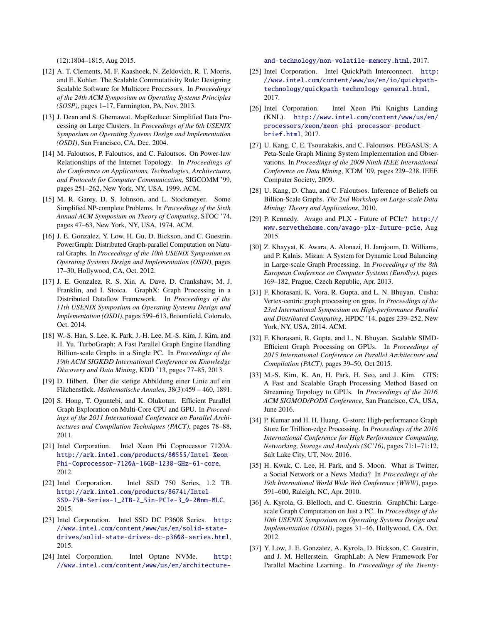(12):1804–1815, Aug 2015.

- <span id="page-14-14"></span>[12] A. T. Clements, M. F. Kaashoek, N. Zeldovich, R. T. Morris, and E. Kohler. The Scalable Commutativity Rule: Designing Scalable Software for Multicore Processors. In *Proceedings of the 24th ACM Symposium on Operating Systems Principles (SOSP)*, pages 1–17, Farmington, PA, Nov. 2013.
- <span id="page-14-23"></span>[13] J. Dean and S. Ghemawat. MapReduce: Simplified Data Processing on Large Clusters. In *Proceedings of the 6th USENIX Symposium on Operating Systems Design and Implementation (OSDI)*, San Francisco, CA, Dec. 2004.
- <span id="page-14-6"></span>[14] M. Faloutsos, P. Faloutsos, and C. Faloutsos. On Power-law Relationships of the Internet Topology. In *Proceedings of the Conference on Applications, Technologies, Architectures, and Protocols for Computer Communication*, SIGCOMM '99, pages 251–262, New York, NY, USA, 1999. ACM.
- <span id="page-14-8"></span>[15] M. R. Garey, D. S. Johnson, and L. Stockmeyer. Some Simplified NP-complete Problems. In *Proceedings of the Sixth Annual ACM Symposium on Theory of Computing*, STOC '74, pages 47–63, New York, NY, USA, 1974. ACM.
- <span id="page-14-15"></span>[16] J. E. Gonzalez, Y. Low, H. Gu, D. Bickson, and C. Guestrin. PowerGraph: Distributed Graph-parallel Computation on Natural Graphs. In *Proceedings of the 10th USENIX Symposium on Operating Systems Design and Implementation (OSDI)*, pages 17–30, Hollywood, CA, Oct. 2012.
- <span id="page-14-5"></span>[17] J. E. Gonzalez, R. S. Xin, A. Dave, D. Crankshaw, M. J. Franklin, and I. Stoica. GraphX: Graph Processing in a Distributed Dataflow Framework. In *Proceedings of the 11th USENIX Symposium on Operating Systems Design and Implementation (OSDI)*, pages 599–613, Broomfield, Colorado, Oct. 2014.
- <span id="page-14-1"></span>[18] W.-S. Han, S. Lee, K. Park, J.-H. Lee, M.-S. Kim, J. Kim, and H. Yu. TurboGraph: A Fast Parallel Graph Engine Handling Billion-scale Graphs in a Single PC. In *Proceedings of the 19th ACM SIGKDD International Conference on Knowledge Discovery and Data Mining*, KDD '13, pages 77–85, 2013.
- <span id="page-14-13"></span>[19] D. Hilbert. Über die stetige Abbildung einer Linie auf ein Flächenstück. *Mathematische Annalen*, 38(3):459 – 460, 1891.
- <span id="page-14-7"></span>[20] S. Hong, T. Oguntebi, and K. Olukotun. Efficient Parallel Graph Exploration on Multi-Core CPU and GPU. In *Proceedings of the 2011 International Conference on Parallel Architectures and Compilation Techniques (PACT)*, pages 78–88, 2011.
- <span id="page-14-12"></span>[21] Intel Corporation. Intel Xeon Phi Coprocessor 7120A. [http://ark.intel.com/products/80555/Intel-Xeon-](http://ark.intel.com/products/80555/Intel-Xeon-Phi-Coprocessor-7120A-16GB-1238-GHz-61-core)[Phi-Coprocessor-7120A-16GB-1238-GHz-61-core](http://ark.intel.com/products/80555/Intel-Xeon-Phi-Coprocessor-7120A-16GB-1238-GHz-61-core), 2012.
- <span id="page-14-9"></span>[22] Intel Corporation. Intel SSD 750 Series, 1.2 TB. [http://ark.intel.com/products/86741/Intel-](http://ark.intel.com/products/86741/Intel-SSD-750-Series-1_2TB-2_5in-PCIe-3_0-20nm-MLC)[SSD-750-Series-1\\_2TB-2\\_5in-PCIe-3\\_0-20nm-MLC](http://ark.intel.com/products/86741/Intel-SSD-750-Series-1_2TB-2_5in-PCIe-3_0-20nm-MLC), 2015.
- <span id="page-14-11"></span>[23] Intel Corporation. Intel SSD DC P3608 Series. [http:](http://www.intel.com/content/www/us/en/solid-state-drives/solid-state-drives-dc-p3608-series.html) [//www.intel.com/content/www/us/en/solid-state](http://www.intel.com/content/www/us/en/solid-state-drives/solid-state-drives-dc-p3608-series.html)[drives/solid-state-drives-dc-p3608-series.html](http://www.intel.com/content/www/us/en/solid-state-drives/solid-state-drives-dc-p3608-series.html), 2015.
- <span id="page-14-19"></span>[24] Intel Corporation. Intel Optane NVMe. [http:](http://www.intel.com/content/www/us/en/architecture-and-technology/non-volatile-memory.html) [//www.intel.com/content/www/us/en/architecture-](http://www.intel.com/content/www/us/en/architecture-and-technology/non-volatile-memory.html)

[and-technology/non-volatile-memory.html](http://www.intel.com/content/www/us/en/architecture-and-technology/non-volatile-memory.html), 2017.

- <span id="page-14-10"></span>[25] Intel Corporation. Intel QuickPath Interconnect. [http:](http://www.intel.com/content/www/us/en/io/quickpath-technology/quickpath-technology-general.html) [//www.intel.com/content/www/us/en/io/quickpath](http://www.intel.com/content/www/us/en/io/quickpath-technology/quickpath-technology-general.html)[technology/quickpath-technology-general.html](http://www.intel.com/content/www/us/en/io/quickpath-technology/quickpath-technology-general.html), 2017.
- <span id="page-14-18"></span>[26] Intel Corporation. Intel Xeon Phi Knights Landing (KNL). [http://www.intel.com/content/www/us/en/](http://www.intel.com/content/www/us/en/processors/xeon/xeon-phi-processor-product-brief.html) [processors/xeon/xeon-phi-processor-product](http://www.intel.com/content/www/us/en/processors/xeon/xeon-phi-processor-product-brief.html)[brief.html](http://www.intel.com/content/www/us/en/processors/xeon/xeon-phi-processor-product-brief.html), 2017.
- <span id="page-14-24"></span>[27] U. Kang, C. E. Tsourakakis, and C. Faloutsos. PEGASUS: A Peta-Scale Graph Mining System Implementation and Observations. In *Proceedings of the 2009 Ninth IEEE International Conference on Data Mining*, ICDM '09, pages 229–238. IEEE Computer Society, 2009.
- <span id="page-14-16"></span>[28] U. Kang, D. Chau, and C. Faloutsos. Inference of Beliefs on Billion-Scale Graphs. *The 2nd Workshop on Large-scale Data Mining: Theory and Applications*, 2010.
- <span id="page-14-20"></span>[29] P. Kennedy. Avago and PLX - Future of PCIe? [http://](http://www.servethehome.com/avago-plx-future-pcie) [www.servethehome.com/avago-plx-future-pcie](http://www.servethehome.com/avago-plx-future-pcie), Aug 2015.
- <span id="page-14-21"></span>[30] Z. Khayyat, K. Awara, A. Alonazi, H. Jamjoom, D. Williams, and P. Kalnis. Mizan: A System for Dynamic Load Balancing in Large-scale Graph Processing. In *Proceedings of the 8th European Conference on Computer Systems (EuroSys)*, pages 169–182, Prague, Czech Republic, Apr. 2013.
- <span id="page-14-4"></span>[31] F. Khorasani, K. Vora, R. Gupta, and L. N. Bhuyan. Cusha: Vertex-centric graph processing on gpus. In *Proceedings of the 23rd International Symposium on High-performance Parallel and Distributed Computing*, HPDC '14, pages 239–252, New York, NY, USA, 2014. ACM.
- [32] F. Khorasani, R. Gupta, and L. N. Bhuyan. Scalable SIMD-Efficient Graph Processing on GPUs. In *Proceedings of 2015 International Conference on Parallel Architecture and Compilation (PACT)*, pages 39–50, Oct 2015.
- <span id="page-14-2"></span>[33] M.-S. Kim, K. An, H. Park, H. Seo, and J. Kim. GTS: A Fast and Scalable Graph Processing Method Based on Streaming Topology to GPUs. In *Proceedings of the 2016 ACM SIGMOD/PODS Conference*, San Francisco, CA, USA, June 2016.
- <span id="page-14-22"></span>[34] P. Kumar and H. H. Huang. G-store: High-performance Graph Store for Trillion-edge Processing. In *Proceedings of the 2016 International Conference for High Performance Computing, Networking, Storage and Analysis (SC'16)*, pages 71:1–71:12, Salt Lake City, UT, Nov. 2016.
- <span id="page-14-17"></span>[35] H. Kwak, C. Lee, H. Park, and S. Moon. What is Twitter, a Social Network or a News Media? In *Proceedings of the 19th International World Wide Web Conference (WWW)*, pages 591–600, Raleigh, NC, Apr. 2010.
- <span id="page-14-3"></span>[36] A. Kyrola, G. Blelloch, and C. Guestrin. GraphChi: Largescale Graph Computation on Just a PC. In *Proceedings of the 10th USENIX Symposium on Operating Systems Design and Implementation (OSDI)*, pages 31–46, Hollywood, CA, Oct. 2012.
- <span id="page-14-0"></span>[37] Y. Low, J. E. Gonzalez, A. Kyrola, D. Bickson, C. Guestrin, and J. M. Hellerstein. GraphLab: A New Framework For Parallel Machine Learning. In *Proceedings of the Twenty-*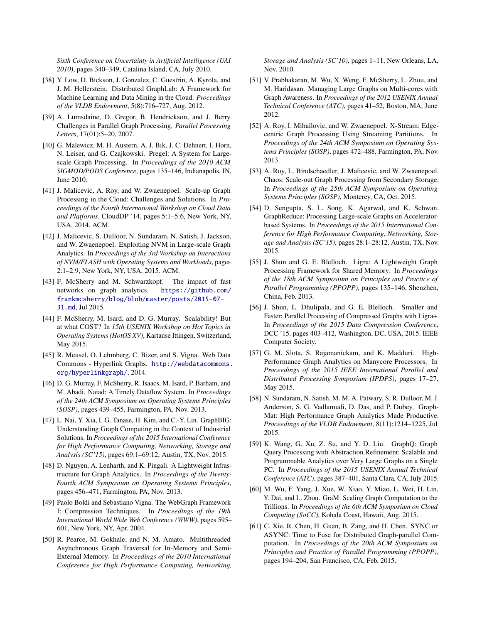*Sixth Conference on Uncertainty in Artificial Intelligence (UAI 2010)*, pages 340–349, Catalina Island, CA, July 2010.

- <span id="page-15-2"></span>[38] Y. Low, D. Bickson, J. Gonzalez, C. Guestrin, A. Kyrola, and J. M. Hellerstein. Distributed GraphLab: A Framework for Machine Learning and Data Mining in the Cloud. *Proceedings of the VLDB Endowment*, 5(8):716–727, Aug. 2012.
- <span id="page-15-7"></span>[39] A. Lumsdaine, D. Gregor, B. Hendrickson, and J. Berry. Challenges in Parallel Graph Processing. *Parallel Processing Letters*, 17(01):5–20, 2007.
- <span id="page-15-10"></span>[40] G. Malewicz, M. H. Austern, A. J. Bik, J. C. Dehnert, I. Horn, N. Leiser, and G. Czajkowski. Pregel: A System for Largescale Graph Processing. In *Proceedings of the 2010 ACM SIGMOD/PODS Conference*, pages 135–146, Indianapolis, IN, June 2010.
- <span id="page-15-17"></span>[41] J. Malicevic, A. Roy, and W. Zwaenepoel. Scale-up Graph Processing in the Cloud: Challenges and Solutions. In *Proceedings of the Fourth International Workshop on Cloud Data and Platforms*, CloudDP '14, pages 5:1–5:6, New York, NY, USA, 2014. ACM.
- <span id="page-15-13"></span>[42] J. Malicevic, S. Dulloor, N. Sundaram, N. Satish, J. Jackson, and W. Zwaenepoel. Exploiting NVM in Large-scale Graph Analytics. In *Proceedings of the 3rd Workshop on Interactions of NVM/FLASH with Operating Systems and Workloads*, pages 2:1–2:9, New York, NY, USA, 2015. ACM.
- <span id="page-15-6"></span>[43] F. McSherry and M. Schwarzkopf. The impact of fast networks on graph analytics. [https://github.com/](https://github.com/frankmcsherry/blog/blob/master/posts/2015-07-31.md) [frankmcsherry/blog/blob/master/posts/2015-07-](https://github.com/frankmcsherry/blog/blob/master/posts/2015-07-31.md) [31.md](https://github.com/frankmcsherry/blog/blob/master/posts/2015-07-31.md), Jul 2015.
- <span id="page-15-9"></span>[44] F. McSherry, M. Isard, and D. G. Murray. Scalability! But at what COST? In *15th USENIX Workshop on Hot Topics in Operating Systems (HotOS XV)*, Kartause Ittingen, Switzerland, May 2015.
- <span id="page-15-12"></span>[45] R. Meusel, O. Lehmberg, C. Bizer, and S. Vigna. Web Data Commons - Hyperlink Graphs. [http://webdatacommons.](http://webdatacommons.org/hyperlinkgraph/) [org/hyperlinkgraph/](http://webdatacommons.org/hyperlinkgraph/), 2014.
- <span id="page-15-18"></span>[46] D. G. Murray, F. McSherry, R. Isaacs, M. Isard, P. Barham, and M. Abadi. Naiad: A Timely Dataflow System. In *Proceedings of the 24th ACM Symposium on Operating Systems Principles (SOSP)*, pages 439–455, Farmington, PA, Nov. 2013.
- <span id="page-15-19"></span>[47] L. Nai, Y. Xia, I. G. Tanase, H. Kim, and C.-Y. Lin. GraphBIG: Understanding Graph Computing in the Context of Industrial Solutions. In *Proceedings of the 2015 International Conference for High Performance Computing, Networking, Storage and Analysis (SC'15)*, pages 69:1–69:12, Austin, TX, Nov. 2015.
- <span id="page-15-4"></span>[48] D. Nguyen, A. Lenharth, and K. Pingali. A Lightweight Infrastructure for Graph Analytics. In *Proceedings of the Twenty-Fourth ACM Symposium on Operating Systems Principles*, pages 456–471, Farmington, PA, Nov. 2013.
- <span id="page-15-11"></span>[49] Paolo Boldi and Sebastiano Vigna. The WebGraph Framework I: Compression Techniques. In *Proceedings of the 19th International World Wide Web Conference (WWW)*, pages 595– 601, New York, NY, Apr. 2004.
- <span id="page-15-8"></span>[50] R. Pearce, M. Gokhale, and N. M. Amato. Multithreaded Asynchronous Graph Traversal for In-Memory and Semi-External Memory. In *Proceedings of the 2010 International Conference for High Performance Computing, Networking,*

*Storage and Analysis (SC'10)*, pages 1–11, New Orleans, LA, Nov. 2010.

- <span id="page-15-14"></span>[51] V. Prabhakaran, M. Wu, X. Weng, F. McSherry, L. Zhou, and M. Haridasan. Managing Large Graphs on Multi-cores with Graph Awareness. In *Proceedings of the 2012 USENIX Annual Technical Conference (ATC)*, pages 41–52, Boston, MA, June 2012.
- <span id="page-15-3"></span>[52] A. Roy, I. Mihailovic, and W. Zwaenepoel. X-Stream: Edgecentric Graph Processing Using Streaming Partitions. In *Proceedings of the 24th ACM Symposium on Operating Systems Principles (SOSP)*, pages 472–488, Farmington, PA, Nov. 2013.
- <span id="page-15-1"></span>[53] A. Roy, L. Bindschaedler, J. Malicevic, and W. Zwaenepoel. Chaos: Scale-out Graph Processing from Secondary Storage. In *Proceedings of the 25th ACM Symposium on Operating Systems Principles (SOSP)*, Monterey, CA, Oct. 2015.
- <span id="page-15-20"></span>[54] D. Sengupta, S. L. Song, K. Agarwal, and K. Schwan. GraphReduce: Processing Large-scale Graphs on Acceleratorbased Systems. In *Proceedings of the 2015 International Conference for High Performance Computing, Networking, Storage and Analysis (SC'15)*, pages 28:1–28:12, Austin, TX, Nov. 2015.
- <span id="page-15-5"></span>[55] J. Shun and G. E. Blelloch. Ligra: A Lightweight Graph Processing Framework for Shared Memory. In *Proceedings of the 18th ACM Symposium on Principles and Practice of Parallel Programming (PPOPP)*, pages 135–146, Shenzhen, China, Feb. 2013.
- <span id="page-15-22"></span>[56] J. Shun, L. Dhulipala, and G. E. Blelloch. Smaller and Faster: Parallel Processing of Compressed Graphs with Ligra+. In *Proceedings of the 2015 Data Compression Conference*, DCC '15, pages 403–412, Washington, DC, USA, 2015. IEEE Computer Society.
- <span id="page-15-21"></span>[57] G. M. Slota, S. Rajamanickam, and K. Madduri. High-Performance Graph Analytics on Manycore Processors. In *Proceedings of the 2015 IEEE International Parallel and Distributed Processing Symposium (IPDPS)*, pages 17–27, May 2015.
- <span id="page-15-15"></span>[58] N. Sundaram, N. Satish, M. M. A. Patwary, S. R. Dulloor, M. J. Anderson, S. G. Vadlamudi, D. Das, and P. Dubey. Graph-Mat: High Performance Graph Analytics Made Productive. *Proceedings of the VLDB Endowment*, 8(11):1214–1225, Jul 2015.
- <span id="page-15-16"></span>[59] K. Wang, G. Xu, Z. Su, and Y. D. Liu. GraphQ: Graph Query Processing with Abstraction Refinement: Scalable and Programmable Analytics over Very Large Graphs on a Single PC. In *Proceedings of the 2015 USENIX Annual Technical Conference (ATC)*, pages 387–401, Santa Clara, CA, July 2015.
- <span id="page-15-0"></span>[60] M. Wu, F. Yang, J. Xue, W. Xiao, Y. Miao, L. Wei, H. Lin, Y. Dai, and L. Zhou. GraM: Scaling Graph Computation to the Trillions. In *Proceedings of the 6th ACM Symposium on Cloud Computing (SoCC)*, Kohala Coast, Hawaii, Aug. 2015.
- [61] C. Xie, R. Chen, H. Guan, B. Zang, and H. Chen. SYNC or ASYNC: Time to Fuse for Distributed Graph-parallel Computation. In *Proceedings of the 20th ACM Symposium on Principles and Practice of Parallel Programming (PPOPP)*, pages 194–204, San Francisco, CA, Feb. 2015.